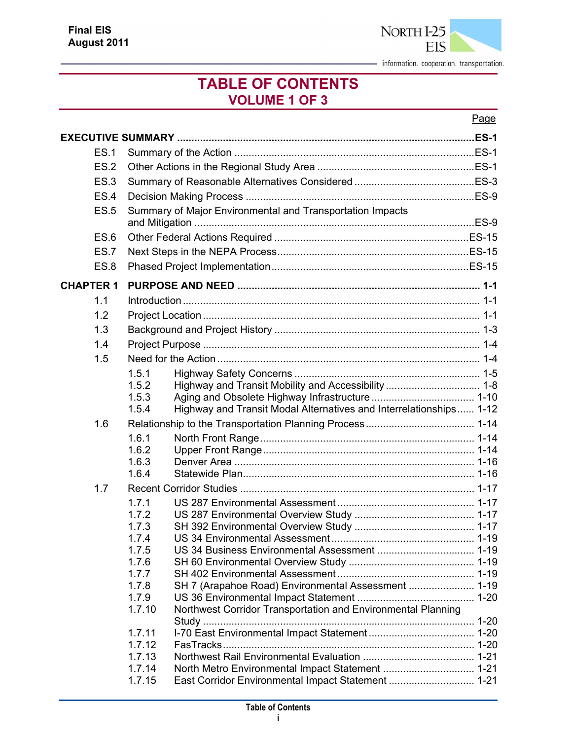

#### **TABLE OF CONTENTS VOLUME 1 OF 3**

#### Page

| <b>ES.1</b>      |                |                                                                    |  |
|------------------|----------------|--------------------------------------------------------------------|--|
| ES.2             |                |                                                                    |  |
| ES.3             |                |                                                                    |  |
| ES.4             |                |                                                                    |  |
| <b>ES.5</b>      |                | Summary of Major Environmental and Transportation Impacts          |  |
| <b>ES.6</b>      |                |                                                                    |  |
| <b>ES.7</b>      |                |                                                                    |  |
| <b>ES.8</b>      |                |                                                                    |  |
| <b>CHAPTER 1</b> |                |                                                                    |  |
| 1.1              |                |                                                                    |  |
| 1.2              |                |                                                                    |  |
| 1.3              |                |                                                                    |  |
| 1.4              |                |                                                                    |  |
| 1.5              |                |                                                                    |  |
|                  | 1.5.1          |                                                                    |  |
|                  | 1.5.2          |                                                                    |  |
|                  | 1.5.3          |                                                                    |  |
|                  | 1.5.4          | Highway and Transit Modal Alternatives and Interrelationships 1-12 |  |
| 1.6              |                |                                                                    |  |
|                  | 1.6.1          |                                                                    |  |
|                  | 1.6.2          |                                                                    |  |
|                  | 1.6.3          |                                                                    |  |
|                  | 1.6.4          |                                                                    |  |
| 1.7              |                |                                                                    |  |
|                  | 1.7.1          |                                                                    |  |
|                  | 1.7.2<br>1.7.3 |                                                                    |  |
|                  | 1.7.4          |                                                                    |  |
|                  | 1.7.5          |                                                                    |  |
|                  | 1.7.6          |                                                                    |  |
|                  | 1.7.7          |                                                                    |  |
|                  | 1.7.8          | SH 7 (Arapahoe Road) Environmental Assessment  1-19                |  |
|                  | 1.7.9          |                                                                    |  |
|                  | 1.7.10         | Northwest Corridor Transportation and Environmental Planning       |  |
|                  | 1.7.11         |                                                                    |  |
|                  | 1.7.12         |                                                                    |  |
|                  | 1.7.13         |                                                                    |  |
|                  | 1.7.14         | North Metro Environmental Impact Statement  1-21                   |  |
|                  | 1.7.15         | East Corridor Environmental Impact Statement  1-21                 |  |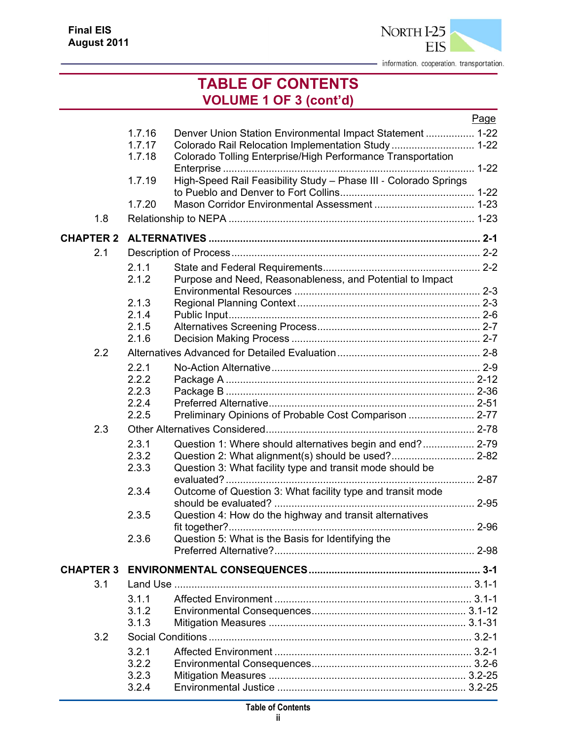

#### **TABLE OF CONTENTS VOLUME 1 OF 3 (cont'd)**

|                  |        |                                                                  | Page |
|------------------|--------|------------------------------------------------------------------|------|
|                  | 1.7.16 | Denver Union Station Environmental Impact Statement  1-22        |      |
|                  | 1.7.17 | Colorado Rail Relocation Implementation Study 1-22               |      |
|                  | 1.7.18 | Colorado Tolling Enterprise/High Performance Transportation      |      |
|                  |        |                                                                  |      |
|                  | 1.7.19 | High-Speed Rail Feasibility Study - Phase III - Colorado Springs |      |
|                  |        |                                                                  |      |
|                  | 1.7.20 |                                                                  |      |
| 1.8              |        |                                                                  |      |
| <b>CHAPTER 2</b> |        |                                                                  |      |
| 2.1              |        |                                                                  |      |
|                  | 2.1.1  |                                                                  |      |
|                  | 2.1.2  | Purpose and Need, Reasonableness, and Potential to Impact        |      |
|                  |        |                                                                  |      |
|                  | 2.1.3  |                                                                  |      |
|                  | 2.1.4  |                                                                  |      |
|                  | 2.1.5  |                                                                  |      |
|                  | 2.1.6  |                                                                  |      |
| 2.2              |        |                                                                  |      |
|                  | 2.2.1  |                                                                  |      |
|                  | 2.2.2  |                                                                  |      |
|                  | 2.2.3  |                                                                  |      |
|                  | 2.2.4  |                                                                  |      |
|                  | 2.2.5  | Preliminary Opinions of Probable Cost Comparison  2-77           |      |
| 2.3              |        |                                                                  |      |
|                  | 2.3.1  | Question 1: Where should alternatives begin and end? 2-79        |      |
|                  | 2.3.2  | Question 2: What alignment(s) should be used? 2-82               |      |
|                  | 2.3.3  | Question 3: What facility type and transit mode should be        |      |
|                  |        |                                                                  | 2-87 |
|                  | 2.3.4  | Outcome of Question 3: What facility type and transit mode       |      |
|                  |        |                                                                  |      |
|                  | 2.3.5  | Question 4: How do the highway and transit alternatives          |      |
|                  |        |                                                                  |      |
|                  | 2.3.6  | Question 5: What is the Basis for Identifying the                |      |
|                  |        |                                                                  |      |
| <b>CHAPTER 3</b> |        |                                                                  |      |
| 3.1              |        |                                                                  |      |
|                  | 3.1.1  |                                                                  |      |
|                  | 3.1.2  |                                                                  |      |
|                  | 3.1.3  |                                                                  |      |
| 3.2              |        |                                                                  |      |
|                  | 3.2.1  |                                                                  |      |
|                  | 3.2.2  |                                                                  |      |
|                  | 3.2.3  |                                                                  |      |
|                  | 3.2.4  |                                                                  |      |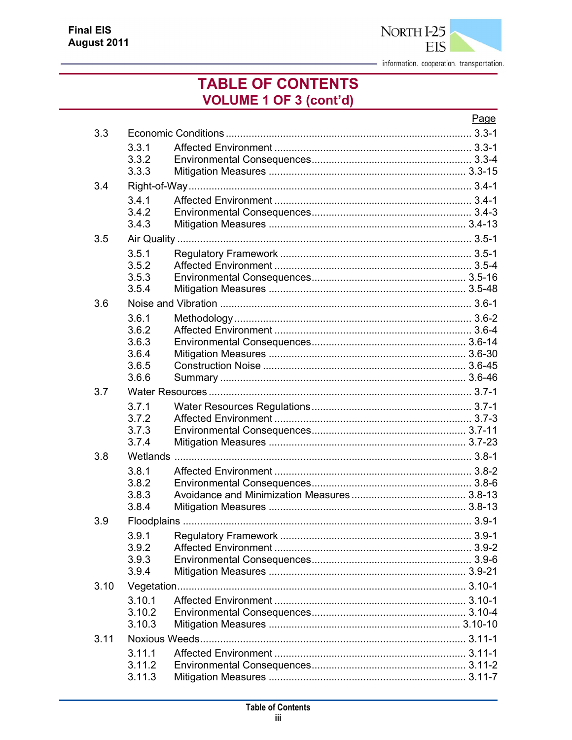

### **TABLE OF CONTENTS VOLUME 1 OF 3 (cont'd)**

|      |                                                    | Page |
|------|----------------------------------------------------|------|
| 3.3  |                                                    |      |
|      | 3.3.1<br>3.3.2<br>3.3.3                            |      |
| 3.4  |                                                    |      |
|      | 3.4.1<br>3.4.2<br>3.4.3                            |      |
| 3.5  |                                                    |      |
|      | 3.5.1<br>3.5.2<br>3.5.3<br>3.5.4                   |      |
| 3.6  |                                                    |      |
|      | 3.6.1<br>3.6.2<br>3.6.3<br>3.6.4<br>3.6.5<br>3.6.6 |      |
| 3.7  |                                                    |      |
|      | 3.7.1<br>3.7.2<br>3.7.3<br>3.7.4                   |      |
| 3.8  |                                                    |      |
|      | 3.8.1<br>3.8.2<br>3.8.3<br>3.8.4                   |      |
| 3.9  |                                                    |      |
|      | 3.9.1<br>3.9.2<br>3.9.3<br>3.9.4                   |      |
| 3.10 |                                                    |      |
|      | 3.10.1<br>3.10.2<br>3.10.3                         |      |
| 3.11 |                                                    |      |
|      | 3.11.1<br>3.11.2<br>3.11.3                         |      |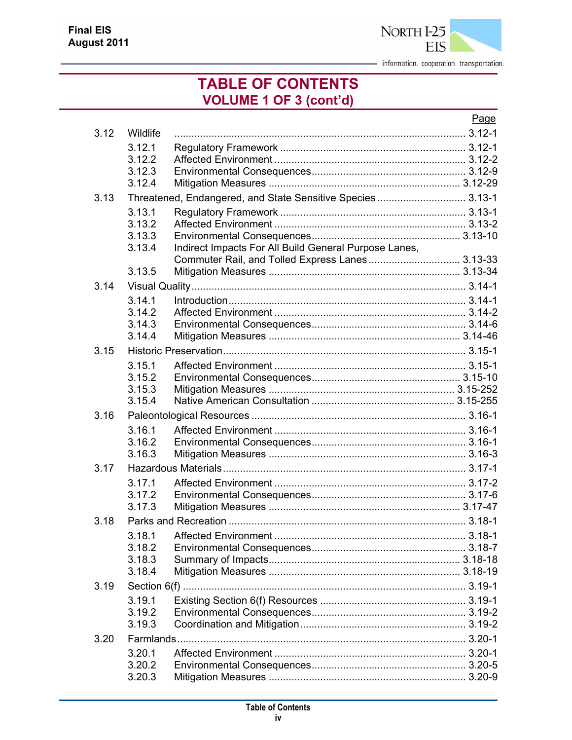

### **TABLE OF CONTENTS VOLUME 1 OF 3 (cont'd)**

|      |                                      |                                                                                                          | Page |
|------|--------------------------------------|----------------------------------------------------------------------------------------------------------|------|
| 3.12 | Wildlife                             |                                                                                                          |      |
|      | 3.12.1<br>3.12.2<br>3.12.3<br>3.12.4 |                                                                                                          |      |
| 3.13 |                                      | Threatened, Endangered, and State Sensitive Species 3.13-1                                               |      |
|      | 3.13.1<br>3.13.2<br>3.13.3<br>3.13.4 | Indirect Impacts For All Build General Purpose Lanes,<br>Commuter Rail, and Tolled Express Lanes 3.13-33 |      |
|      | 3.13.5                               |                                                                                                          |      |
| 3.14 |                                      |                                                                                                          |      |
|      | 3.14.1<br>3.14.2<br>3.14.3<br>3.14.4 |                                                                                                          |      |
| 3.15 |                                      |                                                                                                          |      |
|      | 3.15.1<br>3.15.2<br>3.15.3<br>3.15.4 |                                                                                                          |      |
| 3.16 |                                      |                                                                                                          |      |
|      | 3.16.1<br>3.16.2<br>3.16.3           |                                                                                                          |      |
| 3.17 |                                      |                                                                                                          |      |
|      | 3.17.1<br>3.17.2<br>3.17.3           |                                                                                                          |      |
| 3.18 |                                      |                                                                                                          |      |
|      | 3.18.1<br>3.18.2<br>3.18.3<br>3.18.4 |                                                                                                          |      |
| 3.19 |                                      |                                                                                                          |      |
|      | 3.19.1<br>3.19.2<br>3.19.3           |                                                                                                          |      |
| 3.20 |                                      |                                                                                                          |      |
|      | 3.20.1<br>3.20.2<br>3.20.3           |                                                                                                          |      |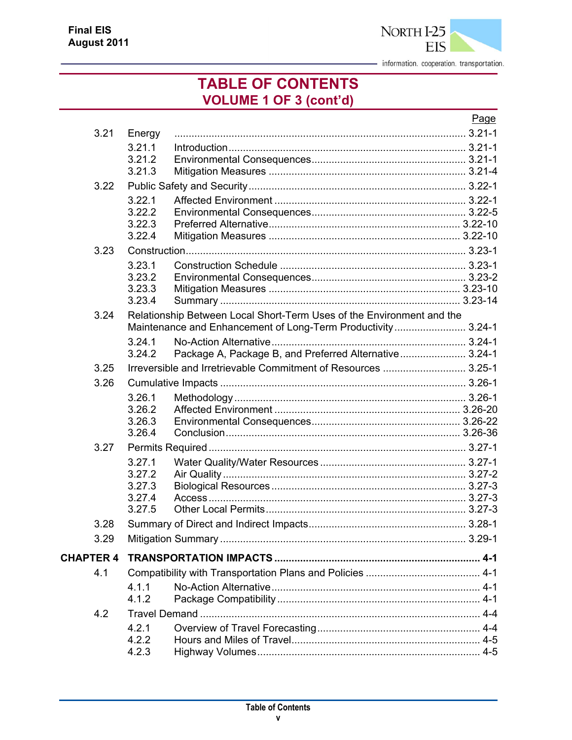

### **TABLE OF CONTENTS VOLUME 1 OF 3 (cont'd)**

|                  |                  |                                                                       | Page |
|------------------|------------------|-----------------------------------------------------------------------|------|
| 3.21             | Energy           |                                                                       |      |
|                  | 3.21.1           |                                                                       |      |
|                  | 3.21.2           |                                                                       |      |
|                  | 3.21.3           |                                                                       |      |
| 3.22             |                  |                                                                       |      |
|                  | 3.22.1           |                                                                       |      |
|                  | 3.22.2<br>3.22.3 |                                                                       |      |
|                  | 3.22.4           |                                                                       |      |
| 3.23             |                  |                                                                       |      |
|                  | 3.23.1           |                                                                       |      |
|                  | 3.23.2           |                                                                       |      |
|                  | 3.23.3           |                                                                       |      |
|                  | 3.23.4           |                                                                       |      |
| 3.24             |                  | Relationship Between Local Short-Term Uses of the Environment and the |      |
|                  |                  | Maintenance and Enhancement of Long-Term Productivity 3.24-1          |      |
|                  | 3.24.1           |                                                                       |      |
|                  | 3.24.2           | Package A, Package B, and Preferred Alternative 3.24-1                |      |
| 3.25             |                  | Irreversible and Irretrievable Commitment of Resources  3.25-1        |      |
| 3.26             |                  |                                                                       |      |
|                  | 3.26.1           |                                                                       |      |
|                  | 3.26.2           |                                                                       |      |
|                  | 3.26.3<br>3.26.4 |                                                                       |      |
|                  |                  |                                                                       |      |
| 3.27             |                  |                                                                       |      |
|                  | 3.27.1<br>3.27.2 |                                                                       |      |
|                  | 3.27.3           |                                                                       |      |
|                  | 3.27.4           |                                                                       |      |
|                  | 3.27.5           |                                                                       |      |
| 3.28             |                  |                                                                       |      |
| 3.29             |                  |                                                                       |      |
| <b>CHAPTER 4</b> |                  |                                                                       |      |
| 4.1              |                  |                                                                       |      |
|                  | 4.1.1            |                                                                       |      |
|                  | 4.1.2            |                                                                       |      |
| 4.2              |                  |                                                                       |      |
|                  | 4.2.1            |                                                                       |      |
|                  | 4.2.2            |                                                                       |      |
|                  | 4.2.3            |                                                                       |      |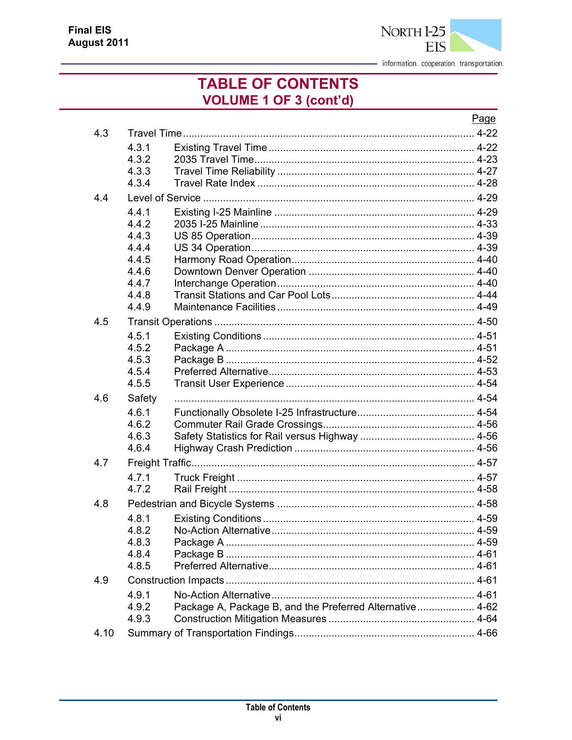

### **TABLE OF CONTENTS VOLUME 1 OF 3 (cont'd)**

|      |                |                                                          | Page |
|------|----------------|----------------------------------------------------------|------|
| 4.3  |                |                                                          |      |
|      | 4.3.1          |                                                          |      |
|      | 4.3.2          |                                                          |      |
|      | 4.3.3          |                                                          |      |
|      | 4.3.4          |                                                          |      |
| 4.4  |                |                                                          |      |
|      | 4.4.1          |                                                          |      |
|      | 4.4.2          |                                                          |      |
|      | 4.4.3<br>4.4.4 |                                                          |      |
|      | 4.4.5          |                                                          |      |
|      | 4.4.6          |                                                          |      |
|      | 4.4.7          |                                                          |      |
|      | 4.4.8          |                                                          |      |
|      | 4.4.9          |                                                          |      |
| 4.5  |                |                                                          |      |
|      | 4.5.1          |                                                          |      |
|      | 4.5.2          |                                                          |      |
|      | 4.5.3          |                                                          |      |
|      | 4.5.4          |                                                          |      |
|      | 4.5.5          |                                                          |      |
| 4.6  | Safety         |                                                          |      |
|      | 4.6.1          |                                                          |      |
|      | 4.6.2          |                                                          |      |
|      | 4.6.3<br>4.6.4 |                                                          |      |
|      |                |                                                          |      |
| 4.7  |                |                                                          |      |
|      | 4.7.1<br>4.7.2 |                                                          |      |
|      |                |                                                          |      |
| 4.8  |                |                                                          |      |
|      | 4.8.1<br>4.8.2 |                                                          |      |
|      | 4.8.3          |                                                          |      |
|      | 4.8.4          |                                                          |      |
|      | 4.8.5          |                                                          |      |
| 4.9  |                |                                                          |      |
|      | 4.9.1          |                                                          |      |
|      | 4.9.2          | Package A, Package B, and the Preferred Alternative 4-62 |      |
|      | 4.9.3          |                                                          |      |
| 4.10 |                |                                                          |      |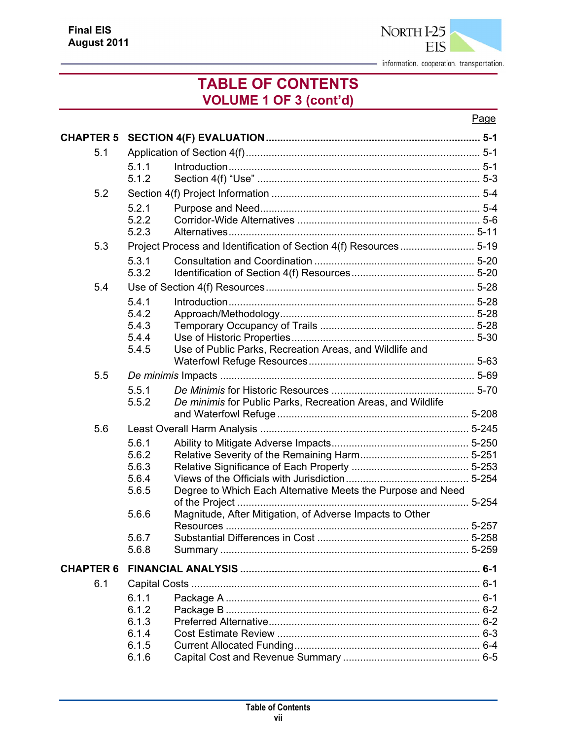

### **TABLE OF CONTENTS VOLUME 1 OF 3 (cont'd)**

#### Page

|                  |                | CHAPTER 5 SECTION 4(F) EVALUATION………………………………………………………………………………5-1 |           |
|------------------|----------------|--------------------------------------------------------------------|-----------|
| 5.1              |                |                                                                    |           |
|                  | 5.1.1          |                                                                    |           |
|                  | 5.1.2          |                                                                    |           |
| 5.2              |                |                                                                    |           |
|                  | 5.2.1          |                                                                    |           |
|                  | 5.2.2          |                                                                    |           |
|                  | 5.2.3          |                                                                    |           |
| 5.3              |                |                                                                    |           |
|                  | 5.3.1          |                                                                    |           |
|                  | 5.3.2          |                                                                    |           |
| 5.4              |                |                                                                    |           |
|                  | 5.4.1          |                                                                    |           |
|                  | 5.4.2          |                                                                    |           |
|                  | 5.4.3          |                                                                    |           |
|                  | 5.4.4          |                                                                    |           |
|                  | 5.4.5          | Use of Public Parks, Recreation Areas, and Wildlife and            |           |
|                  |                |                                                                    |           |
| 5.5              |                |                                                                    |           |
|                  | 5.5.1<br>5.5.2 |                                                                    |           |
|                  |                | De minimis for Public Parks, Recreation Areas, and Wildlife        |           |
| 5.6              |                |                                                                    |           |
|                  | 5.6.1          |                                                                    |           |
|                  | 5.6.2          |                                                                    |           |
|                  | 5.6.3          |                                                                    |           |
|                  | 5.6.4          |                                                                    |           |
|                  | 5.6.5          | Degree to Which Each Alternative Meets the Purpose and Need        |           |
|                  |                |                                                                    | $5 - 254$ |
|                  | 5.6.6          | Magnitude, After Mitigation, of Adverse Impacts to Other           |           |
|                  | 5.6.7          |                                                                    |           |
|                  | 5.6.8          |                                                                    |           |
|                  |                |                                                                    |           |
| <b>CHAPTER 6</b> |                |                                                                    |           |
| 6.1              |                |                                                                    |           |
|                  | 6.1.1          |                                                                    |           |
|                  | 6.1.2          |                                                                    |           |
|                  | 6.1.3          |                                                                    |           |
|                  | 6.1.4<br>6.1.5 |                                                                    |           |
|                  | 6.1.6          |                                                                    |           |
|                  |                |                                                                    |           |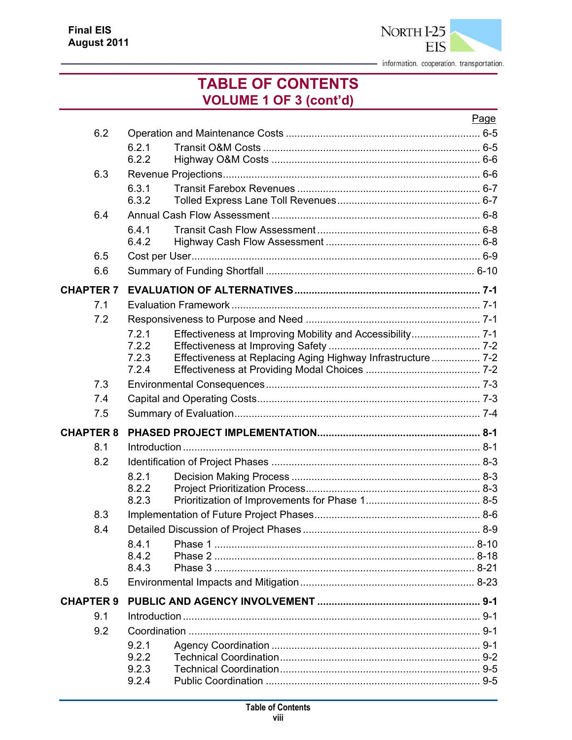

### **TABLE OF CONTENTS VOLUME 1 OF 3 (cont'd)**

|                  |                |                                                              | Page |
|------------------|----------------|--------------------------------------------------------------|------|
| 6.2              |                |                                                              |      |
|                  | 6.2.1          |                                                              |      |
|                  | 6.2.2          |                                                              |      |
| 6.3              |                |                                                              |      |
|                  | 6.3.1<br>6.3.2 |                                                              |      |
| 6.4              |                |                                                              |      |
|                  | 6.4.1<br>6.4.2 |                                                              |      |
| 6.5              |                |                                                              |      |
| 6.6              |                |                                                              |      |
| <b>CHAPTER 7</b> |                |                                                              |      |
| 7.1              |                |                                                              |      |
| 7.2              |                |                                                              |      |
|                  | 7.2.1          |                                                              |      |
|                  | 7.2.2          |                                                              |      |
|                  | 7.2.3<br>7.2.4 | Effectiveness at Replacing Aging Highway Infrastructure  7-2 |      |
| 7.3              |                |                                                              |      |
| 7.4              |                |                                                              |      |
| 7.5              |                |                                                              |      |
| <b>CHAPTER 8</b> |                |                                                              |      |
| 8.1              |                |                                                              |      |
| 8.2              |                |                                                              |      |
|                  | 8.2.1          |                                                              |      |
|                  | 8.2.2          |                                                              |      |
|                  | 8.2.3          |                                                              |      |
| 8.3              |                |                                                              |      |
| 8.4              |                |                                                              |      |
|                  | 8.4.1          |                                                              |      |
|                  | 8.4.2<br>8.4.3 |                                                              |      |
| 8.5              |                |                                                              |      |
| <b>CHAPTER 9</b> |                |                                                              |      |
| 9.1              |                |                                                              |      |
| 9.2              |                |                                                              |      |
|                  | 9.2.1          |                                                              |      |
|                  | 9.2.2          |                                                              |      |
|                  | 9.2.3          |                                                              |      |
|                  | 9.2.4          |                                                              |      |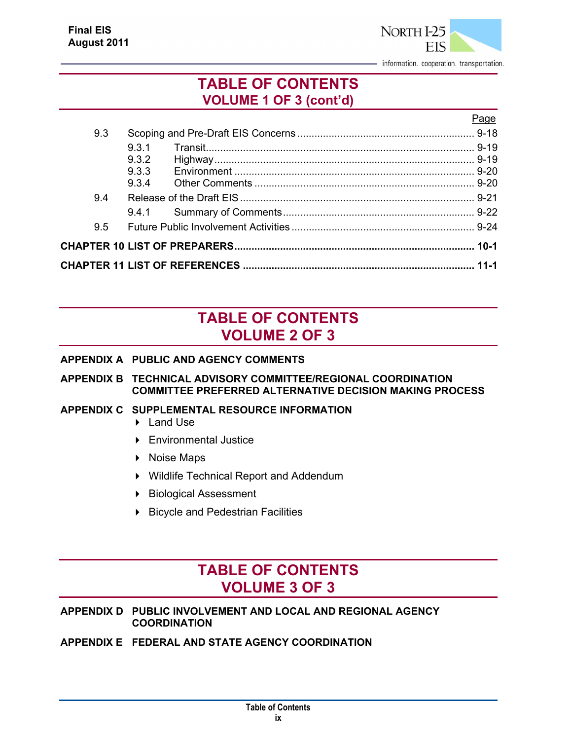

Page

#### **TABLE OF CONTENTS VOLUME 1 OF 3 (cont'd)**

| 9.3 |       |                                                                 |  |
|-----|-------|-----------------------------------------------------------------|--|
|     | 9.3.1 |                                                                 |  |
|     | 9.3.2 |                                                                 |  |
|     | 9.3.3 |                                                                 |  |
|     | 9.3.4 |                                                                 |  |
| 94  |       |                                                                 |  |
|     |       |                                                                 |  |
| 9.5 |       |                                                                 |  |
|     |       |                                                                 |  |
|     |       | CHAPTER 11 LIST OF REFERENCES ………………………………………………………………………… 11-1 |  |

### **TABLE OF CONTENTS VOLUME 2 OF 3**

#### **APPENDIX A PUBLIC AND AGENCY COMMENTS**

#### **APPENDIX B TECHNICAL ADVISORY COMMITTEE/REGIONAL COORDINATION COMMITTEE PREFERRED ALTERNATIVE DECISION MAKING PROCESS**

#### **APPENDIX C SUPPLEMENTAL RESOURCE INFORMATION**

- ▶ Land Use
- Environmental Justice
- ▶ Noise Maps
- Wildlife Technical Report and Addendum
- ▶ Biological Assessment
- **Bicycle and Pedestrian Facilities**

#### **TABLE OF CONTENTS VOLUME 3 OF 3**

#### **APPENDIX D PUBLIC INVOLVEMENT AND LOCAL AND REGIONAL AGENCY COORDINATION**

#### **APPENDIX E FEDERAL AND STATE AGENCY COORDINATION**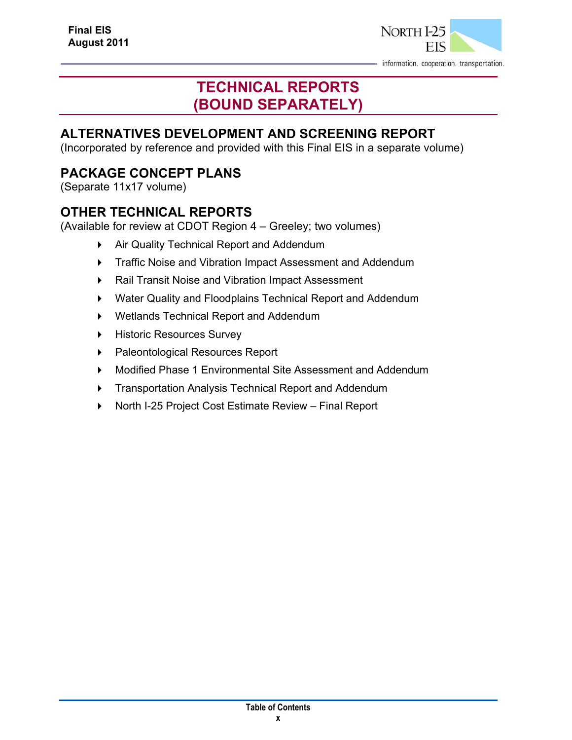

### **TECHNICAL REPORTS (BOUND SEPARATELY)**

#### **ALTERNATIVES DEVELOPMENT AND SCREENING REPORT**

(Incorporated by reference and provided with this Final EIS in a separate volume)

#### **PACKAGE CONCEPT PLANS**

(Separate 11x17 volume)

#### **OTHER TECHNICAL REPORTS**

(Available for review at CDOT Region 4 – Greeley; two volumes)

- Air Quality Technical Report and Addendum
- **FIGM** Traffic Noise and Vibration Impact Assessment and Addendum
- Rail Transit Noise and Vibration Impact Assessment
- Water Quality and Floodplains Technical Report and Addendum
- Wetlands Technical Report and Addendum
- **Historic Resources Survey**
- ▶ Paleontological Resources Report
- Modified Phase 1 Environmental Site Assessment and Addendum
- **Transportation Analysis Technical Report and Addendum**
- ▶ North I-25 Project Cost Estimate Review Final Report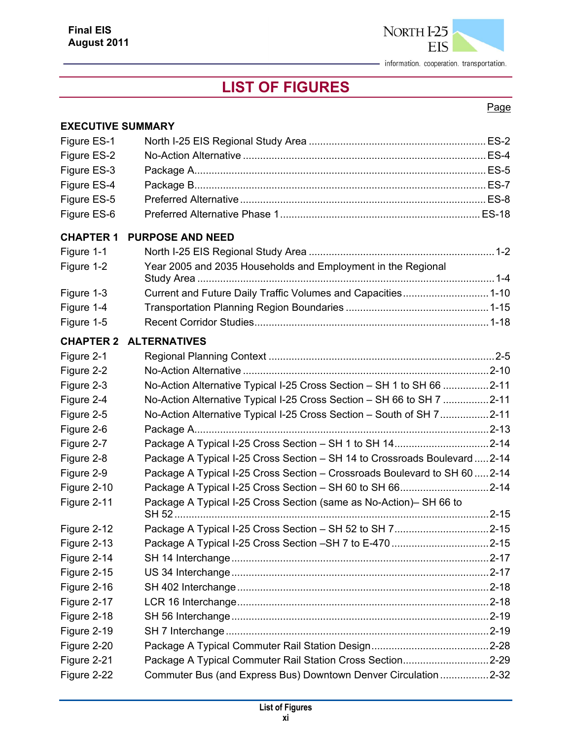

## **LIST OF FIGURES**

#### Page

| <b>EXECUTIVE SUMMARY</b>   |                                                                            |  |
|----------------------------|----------------------------------------------------------------------------|--|
| Figure ES-1                |                                                                            |  |
| Figure ES-2                |                                                                            |  |
| Figure ES-3                |                                                                            |  |
| Figure ES-4                |                                                                            |  |
| Figure ES-5                |                                                                            |  |
| Figure ES-6                |                                                                            |  |
| <b>CHAPTER 1</b>           | <b>PURPOSE AND NEED</b>                                                    |  |
| Figure 1-1                 |                                                                            |  |
| Figure 1-2                 | Year 2005 and 2035 Households and Employment in the Regional               |  |
| Figure 1-3                 | Current and Future Daily Traffic Volumes and Capacities 1-10               |  |
| Figure 1-4                 |                                                                            |  |
| Figure 1-5                 |                                                                            |  |
| <b>CHAPTER 2</b>           | <b>ALTERNATIVES</b>                                                        |  |
| Figure 2-1                 |                                                                            |  |
| Figure 2-2                 |                                                                            |  |
| Figure 2-3                 | No-Action Alternative Typical I-25 Cross Section – SH 1 to SH 66 2-11      |  |
| Figure 2-4                 | No-Action Alternative Typical I-25 Cross Section - SH 66 to SH 7 2-11      |  |
| Figure 2-5                 | No-Action Alternative Typical I-25 Cross Section – South of SH 72-11       |  |
| Figure 2-6                 |                                                                            |  |
| Figure 2-7                 | Package A Typical I-25 Cross Section – SH 1 to SH 142-14                   |  |
| Figure 2-8                 | Package A Typical I-25 Cross Section - SH 14 to Crossroads Boulevard  2-14 |  |
| Figure 2-9                 | Package A Typical I-25 Cross Section - Crossroads Boulevard to SH 60  2-14 |  |
| Figure 2-10                |                                                                            |  |
| Figure 2-11                | Package A Typical I-25 Cross Section (same as No-Action)- SH 66 to         |  |
| Figure 2-12                |                                                                            |  |
| Figure 2-13                |                                                                            |  |
|                            |                                                                            |  |
| Figure 2-14<br>Figure 2-15 |                                                                            |  |
| Figure 2-16                |                                                                            |  |
| Figure 2-17                |                                                                            |  |
| Figure 2-18                |                                                                            |  |
| Figure 2-19                |                                                                            |  |
| Figure 2-20                |                                                                            |  |
| Figure 2-21                | Package A Typical Commuter Rail Station Cross Section2-29                  |  |
| Figure 2-22                | Commuter Bus (and Express Bus) Downtown Denver Circulation 2-32            |  |
|                            |                                                                            |  |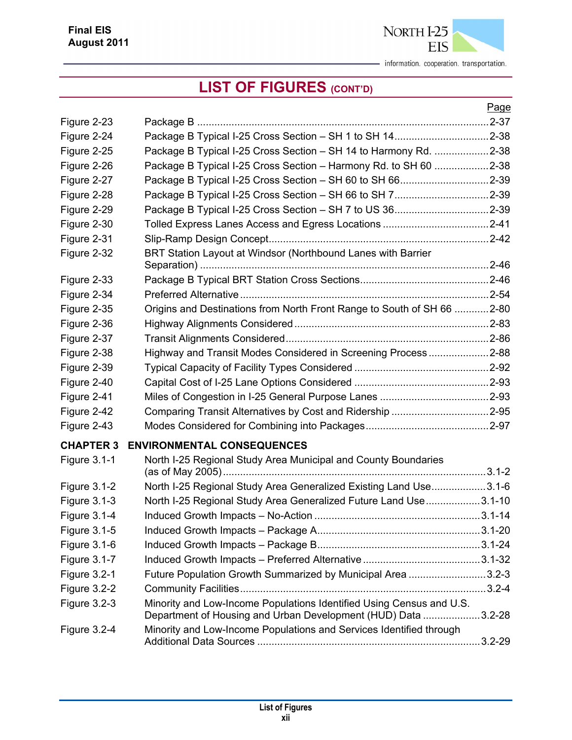

|                     |                                                                                                                                       | Page |
|---------------------|---------------------------------------------------------------------------------------------------------------------------------------|------|
| Figure 2-23         |                                                                                                                                       |      |
| Figure 2-24         |                                                                                                                                       |      |
| Figure 2-25         | Package B Typical I-25 Cross Section - SH 14 to Harmony Rd. 2-38                                                                      |      |
| Figure 2-26         | Package B Typical I-25 Cross Section - Harmony Rd. to SH 60 2-38                                                                      |      |
| Figure 2-27         |                                                                                                                                       |      |
| Figure 2-28         | Package B Typical I-25 Cross Section - SH 66 to SH 72-39                                                                              |      |
| Figure 2-29         |                                                                                                                                       |      |
| Figure 2-30         |                                                                                                                                       |      |
| Figure 2-31         |                                                                                                                                       |      |
| Figure 2-32         | BRT Station Layout at Windsor (Northbound Lanes with Barrier                                                                          |      |
| Figure 2-33         |                                                                                                                                       |      |
| Figure 2-34         |                                                                                                                                       |      |
| Figure 2-35         | Origins and Destinations from North Front Range to South of SH 66 2-80                                                                |      |
| Figure 2-36         |                                                                                                                                       |      |
| Figure 2-37         |                                                                                                                                       |      |
| Figure 2-38         | Highway and Transit Modes Considered in Screening Process2-88                                                                         |      |
| Figure 2-39         |                                                                                                                                       |      |
| Figure 2-40         |                                                                                                                                       |      |
| Figure 2-41         |                                                                                                                                       |      |
| Figure 2-42         |                                                                                                                                       |      |
| Figure 2-43         |                                                                                                                                       |      |
| <b>CHAPTER 3</b>    | <b>ENVIRONMENTAL CONSEQUENCES</b>                                                                                                     |      |
| <b>Figure 3.1-1</b> | North I-25 Regional Study Area Municipal and County Boundaries                                                                        |      |
| <b>Figure 3.1-2</b> | North I-25 Regional Study Area Generalized Existing Land Use3.1-6                                                                     |      |
| <b>Figure 3.1-3</b> | North I-25 Regional Study Area Generalized Future Land Use 3.1-10                                                                     |      |
| <b>Figure 3.1-4</b> |                                                                                                                                       |      |
| <b>Figure 3.1-5</b> |                                                                                                                                       |      |
| Figure 3.1-6        |                                                                                                                                       |      |
| <b>Figure 3.1-7</b> |                                                                                                                                       |      |
| <b>Figure 3.2-1</b> | Future Population Growth Summarized by Municipal Area 3.2-3                                                                           |      |
| Figure 3.2-2        |                                                                                                                                       |      |
| <b>Figure 3.2-3</b> | Minority and Low-Income Populations Identified Using Census and U.S.<br>Department of Housing and Urban Development (HUD) Data 3.2-28 |      |
| <b>Figure 3.2-4</b> | Minority and Low-Income Populations and Services Identified through                                                                   |      |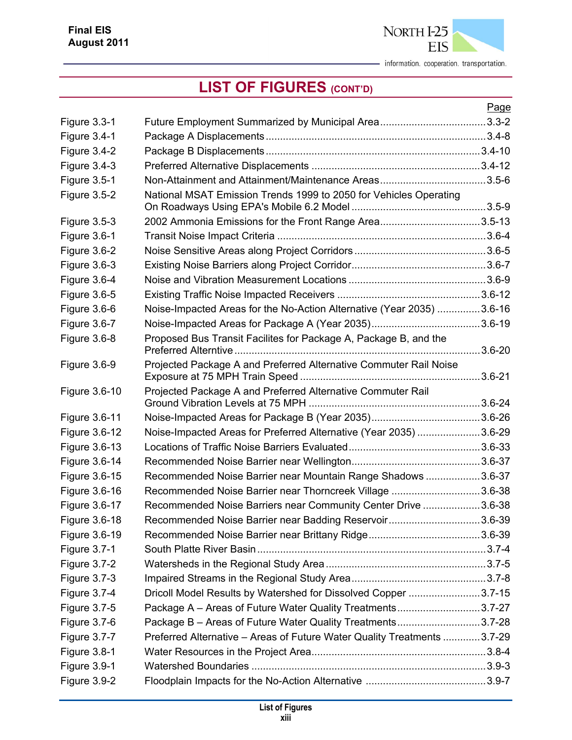

|                     |                                                                         | Page |
|---------------------|-------------------------------------------------------------------------|------|
| <b>Figure 3.3-1</b> |                                                                         |      |
| Figure 3.4-1        |                                                                         |      |
| <b>Figure 3.4-2</b> |                                                                         |      |
| Figure 3.4-3        |                                                                         |      |
| <b>Figure 3.5-1</b> |                                                                         |      |
| <b>Figure 3.5-2</b> | National MSAT Emission Trends 1999 to 2050 for Vehicles Operating       |      |
|                     |                                                                         |      |
| <b>Figure 3.5-3</b> | 2002 Ammonia Emissions for the Front Range Area3.5-13                   |      |
| <b>Figure 3.6-1</b> |                                                                         |      |
| Figure 3.6-2        |                                                                         |      |
| <b>Figure 3.6-3</b> |                                                                         |      |
| Figure 3.6-4        |                                                                         |      |
| Figure 3.6-5        |                                                                         |      |
| Figure 3.6-6        | Noise-Impacted Areas for the No-Action Alternative (Year 2035) 3.6-16   |      |
| <b>Figure 3.6-7</b> |                                                                         |      |
| <b>Figure 3.6-8</b> | Proposed Bus Transit Facilites for Package A, Package B, and the        |      |
| <b>Figure 3.6-9</b> | Projected Package A and Preferred Alternative Commuter Rail Noise       |      |
|                     |                                                                         |      |
| Figure 3.6-10       | Projected Package A and Preferred Alternative Commuter Rail             |      |
| Figure 3.6-11       |                                                                         |      |
| Figure 3.6-12       | Noise-Impacted Areas for Preferred Alternative (Year 2035) 3.6-29       |      |
| Figure 3.6-13       |                                                                         |      |
| Figure 3.6-14       |                                                                         |      |
| Figure 3.6-15       | Recommended Noise Barrier near Mountain Range Shadows 3.6-37            |      |
| Figure 3.6-16       | Recommended Noise Barrier near Thorncreek Village 3.6-38                |      |
| Figure 3.6-17       | Recommended Noise Barriers near Community Center Drive 3.6-38           |      |
| Figure 3.6-18       | Recommended Noise Barrier near Badding Reservoir3.6-39                  |      |
| Figure 3.6-19       |                                                                         |      |
| <b>Figure 3.7-1</b> |                                                                         |      |
| Figure 3.7-2        |                                                                         |      |
| <b>Figure 3.7-3</b> |                                                                         |      |
| <b>Figure 3.7-4</b> | Dricoll Model Results by Watershed for Dissolved Copper 3.7-15          |      |
| Figure 3.7-5        | Package A – Areas of Future Water Quality Treatments3.7-27              |      |
| Figure 3.7-6        | Package B - Areas of Future Water Quality Treatments3.7-28              |      |
| <b>Figure 3.7-7</b> | Preferred Alternative - Areas of Future Water Quality Treatments 3.7-29 |      |
| <b>Figure 3.8-1</b> |                                                                         |      |
| Figure 3.9-1        |                                                                         |      |
| Figure 3.9-2        |                                                                         |      |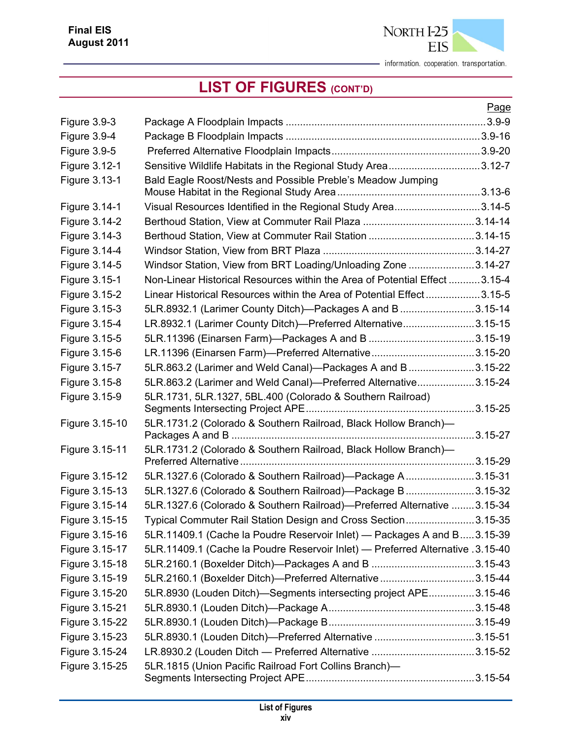

|                     |                                                                                | Page |
|---------------------|--------------------------------------------------------------------------------|------|
| <b>Figure 3.9-3</b> |                                                                                |      |
| Figure 3.9-4        |                                                                                |      |
| <b>Figure 3.9-5</b> |                                                                                |      |
| Figure 3.12-1       | Sensitive Wildlife Habitats in the Regional Study Area3.12-7                   |      |
| Figure 3.13-1       | Bald Eagle Roost/Nests and Possible Preble's Meadow Jumping                    |      |
|                     |                                                                                |      |
| Figure 3.14-1       | Visual Resources Identified in the Regional Study Area3.14-5                   |      |
| Figure 3.14-2       |                                                                                |      |
| Figure 3.14-3       |                                                                                |      |
| Figure 3.14-4       |                                                                                |      |
| Figure 3.14-5       | Windsor Station, View from BRT Loading/Unloading Zone 3.14-27                  |      |
| Figure 3.15-1       | Non-Linear Historical Resources within the Area of Potential Effect 3.15-4     |      |
| Figure 3.15-2       | Linear Historical Resources within the Area of Potential Effect 3.15-5         |      |
| Figure 3.15-3       | 5LR.8932.1 (Larimer County Ditch)-Packages A and B 3.15-14                     |      |
| Figure 3.15-4       | LR.8932.1 (Larimer County Ditch)-Preferred Alternative3.15-15                  |      |
| Figure 3.15-5       |                                                                                |      |
| Figure 3.15-6       |                                                                                |      |
| Figure 3.15-7       | 5LR.863.2 (Larimer and Weld Canal)—Packages A and B3.15-22                     |      |
| Figure 3.15-8       | 5LR.863.2 (Larimer and Weld Canal)-Preferred Alternative3.15-24                |      |
| Figure 3.15-9       | 5LR.1731, 5LR.1327, 5BL.400 (Colorado & Southern Railroad)                     |      |
| Figure 3.15-10      | 5LR.1731.2 (Colorado & Southern Railroad, Black Hollow Branch)-                |      |
| Figure 3.15-11      | 5LR.1731.2 (Colorado & Southern Railroad, Black Hollow Branch)-                |      |
| Figure 3.15-12      | 5LR.1327.6 (Colorado & Southern Railroad)-Package A3.15-31                     |      |
| Figure 3.15-13      | 5LR.1327.6 (Colorado & Southern Railroad)-Package B3.15-32                     |      |
| Figure 3.15-14      | 5LR.1327.6 (Colorado & Southern Railroad)-Preferred Alternative  3.15-34       |      |
| Figure 3.15-15      | Typical Commuter Rail Station Design and Cross Section3.15-35                  |      |
| Figure 3.15-16      | 5LR.11409.1 (Cache la Poudre Reservoir Inlet) — Packages A and B3.15-39        |      |
| Figure 3.15-17      | 5LR.11409.1 (Cache la Poudre Reservoir Inlet) - Preferred Alternative .3.15-40 |      |
| Figure 3.15-18      |                                                                                |      |
| Figure 3.15-19      | 5LR.2160.1 (Boxelder Ditch)-Preferred Alternative 3.15-44                      |      |
| Figure 3.15-20      | 5LR.8930 (Louden Ditch)—Segments intersecting project APE3.15-46               |      |
| Figure 3.15-21      |                                                                                |      |
| Figure 3.15-22      |                                                                                |      |
| Figure 3.15-23      |                                                                                |      |
| Figure 3.15-24      |                                                                                |      |
| Figure 3.15-25      | 5LR.1815 (Union Pacific Railroad Fort Collins Branch)-                         |      |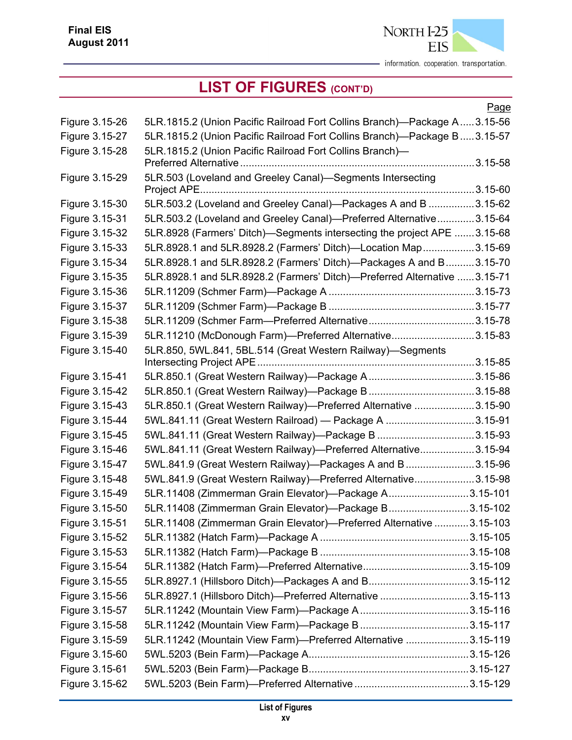

|                |                                                                          | <u>Page</u> |
|----------------|--------------------------------------------------------------------------|-------------|
| Figure 3.15-26 | 5LR.1815.2 (Union Pacific Railroad Fort Collins Branch)—Package A3.15-56 |             |
| Figure 3.15-27 | 5LR.1815.2 (Union Pacific Railroad Fort Collins Branch)—Package B3.15-57 |             |
| Figure 3.15-28 | 5LR.1815.2 (Union Pacific Railroad Fort Collins Branch)-                 |             |
|                |                                                                          |             |
| Figure 3.15-29 | 5LR.503 (Loveland and Greeley Canal)-Segments Intersecting               |             |
|                |                                                                          |             |
| Figure 3.15-30 | 5LR.503.2 (Loveland and Greeley Canal)-Packages A and B 3.15-62          |             |
| Figure 3.15-31 | 5LR.503.2 (Loveland and Greeley Canal)—Preferred Alternative3.15-64      |             |
| Figure 3.15-32 | 5LR.8928 (Farmers' Ditch)—Segments intersecting the project APE 3.15-68  |             |
| Figure 3.15-33 | 5LR.8928.1 and 5LR.8928.2 (Farmers' Ditch)-Location Map3.15-69           |             |
| Figure 3.15-34 | 5LR.8928.1 and 5LR.8928.2 (Farmers' Ditch)—Packages A and B3.15-70       |             |
| Figure 3.15-35 | 5LR.8928.1 and 5LR.8928.2 (Farmers' Ditch)-Preferred Alternative 3.15-71 |             |
| Figure 3.15-36 |                                                                          |             |
| Figure 3.15-37 |                                                                          |             |
| Figure 3.15-38 |                                                                          |             |
| Figure 3.15-39 | 5LR.11210 (McDonough Farm)-Preferred Alternative3.15-83                  |             |
| Figure 3.15-40 | 5LR.850, 5WL.841, 5BL.514 (Great Western Railway)-Segments               |             |
| Figure 3.15-41 |                                                                          |             |
| Figure 3.15-42 |                                                                          |             |
| Figure 3.15-43 | 5LR.850.1 (Great Western Railway)-Preferred Alternative 3.15-90          |             |
| Figure 3.15-44 | 5WL.841.11 (Great Western Railroad) — Package A 3.15-91                  |             |
| Figure 3.15-45 | 5WL.841.11 (Great Western Railway)—Package B 3.15-93                     |             |
| Figure 3.15-46 | 5WL.841.11 (Great Western Railway)-Preferred Alternative3.15-94          |             |
| Figure 3.15-47 | 5WL.841.9 (Great Western Railway)—Packages A and B 3.15-96               |             |
| Figure 3.15-48 | 5WL.841.9 (Great Western Railway)—Preferred Alternative3.15-98           |             |
| Figure 3.15-49 | 5LR.11408 (Zimmerman Grain Elevator)—Package A3.15-101                   |             |
| Figure 3.15-50 | 5LR.11408 (Zimmerman Grain Elevator)-Package B3.15-102                   |             |
| Figure 3.15-51 | 5LR.11408 (Zimmerman Grain Elevator)-Preferred Alternative  3.15-103     |             |
| Figure 3.15-52 |                                                                          |             |
| Figure 3.15-53 |                                                                          |             |
| Figure 3.15-54 |                                                                          |             |
| Figure 3.15-55 |                                                                          |             |
| Figure 3.15-56 | 5LR.8927.1 (Hillsboro Ditch)-Preferred Alternative 3.15-113              |             |
| Figure 3.15-57 |                                                                          |             |
| Figure 3.15-58 |                                                                          |             |
| Figure 3.15-59 | 5LR.11242 (Mountain View Farm)-Preferred Alternative 3.15-119            |             |
| Figure 3.15-60 |                                                                          |             |
| Figure 3.15-61 |                                                                          |             |
| Figure 3.15-62 |                                                                          |             |
|                |                                                                          |             |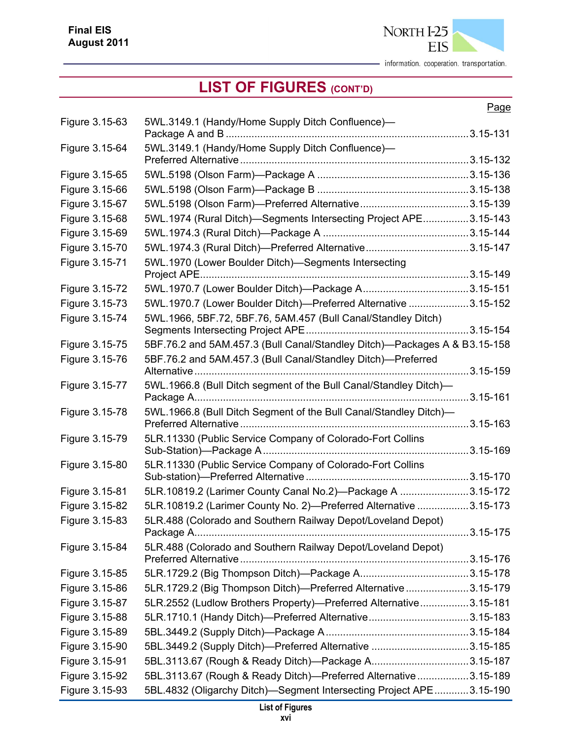

## **LIST OF FIGURES (CONT'D)**

#### Page

| Figure 3.15-63 | 5WL.3149.1 (Handy/Home Supply Ditch Confluence)-                          |  |
|----------------|---------------------------------------------------------------------------|--|
| Figure 3.15-64 | 5WL.3149.1 (Handy/Home Supply Ditch Confluence)-                          |  |
| Figure 3.15-65 |                                                                           |  |
| Figure 3.15-66 |                                                                           |  |
| Figure 3.15-67 |                                                                           |  |
| Figure 3.15-68 | 5WL.1974 (Rural Ditch)-Segments Intersecting Project APE3.15-143          |  |
| Figure 3.15-69 |                                                                           |  |
| Figure 3.15-70 |                                                                           |  |
| Figure 3.15-71 | 5WL.1970 (Lower Boulder Ditch)—Segments Intersecting                      |  |
|                |                                                                           |  |
| Figure 3.15-72 |                                                                           |  |
| Figure 3.15-73 | 5WL.1970.7 (Lower Boulder Ditch)-Preferred Alternative 3.15-152           |  |
| Figure 3.15-74 | 5WL.1966, 5BF.72, 5BF.76, 5AM.457 (Bull Canal/Standley Ditch)             |  |
| Figure 3.15-75 | 5BF.76.2 and 5AM.457.3 (Bull Canal/Standley Ditch)-Packages A & B3.15-158 |  |
| Figure 3.15-76 | 5BF.76.2 and 5AM.457.3 (Bull Canal/Standley Ditch)-Preferred              |  |
| Figure 3.15-77 | 5WL.1966.8 (Bull Ditch segment of the Bull Canal/Standley Ditch)-         |  |
| Figure 3.15-78 | 5WL.1966.8 (Bull Ditch Segment of the Bull Canal/Standley Ditch)-         |  |
| Figure 3.15-79 | 5LR.11330 (Public Service Company of Colorado-Fort Collins                |  |
| Figure 3.15-80 | 5LR.11330 (Public Service Company of Colorado-Fort Collins                |  |
| Figure 3.15-81 | 5LR.10819.2 (Larimer County Canal No.2)-Package A 3.15-172                |  |
| Figure 3.15-82 | 5LR.10819.2 (Larimer County No. 2)-Preferred Alternative 3.15-173         |  |
| Figure 3.15-83 | 5LR.488 (Colorado and Southern Railway Depot/Loveland Depot)              |  |
| Figure 3.15-84 | 5LR.488 (Colorado and Southern Railway Depot/Loveland Depot)              |  |
| Figure 3.15-85 |                                                                           |  |
| Figure 3.15-86 | 5LR.1729.2 (Big Thompson Ditch)-Preferred Alternative 3.15-179            |  |
| Figure 3.15-87 | 5LR.2552 (Ludlow Brothers Property)-Preferred Alternative3.15-181         |  |
| Figure 3.15-88 |                                                                           |  |
| Figure 3.15-89 |                                                                           |  |
| Figure 3.15-90 |                                                                           |  |
| Figure 3.15-91 |                                                                           |  |
| Figure 3.15-92 | 5BL.3113.67 (Rough & Ready Ditch)-Preferred Alternative 3.15-189          |  |
| Figure 3.15-93 | 5BL.4832 (Oligarchy Ditch)—Segment Intersecting Project APE3.15-190       |  |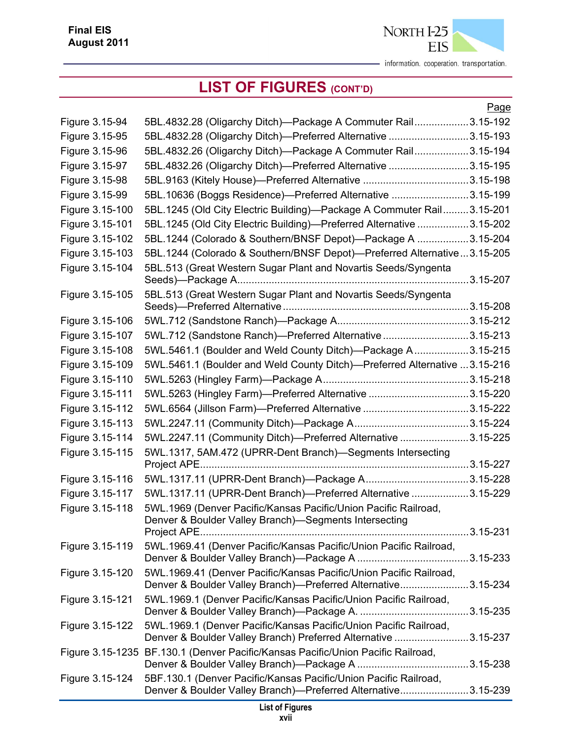

|                 |                                                                                                                                     | Page |
|-----------------|-------------------------------------------------------------------------------------------------------------------------------------|------|
| Figure 3.15-94  | 5BL.4832.28 (Oligarchy Ditch)-Package A Commuter Rail3.15-192                                                                       |      |
| Figure 3.15-95  | 5BL.4832.28 (Oligarchy Ditch)-Preferred Alternative 3.15-193                                                                        |      |
| Figure 3.15-96  | 5BL.4832.26 (Oligarchy Ditch)-Package A Commuter Rail3.15-194                                                                       |      |
| Figure 3.15-97  | 5BL.4832.26 (Oligarchy Ditch)-Preferred Alternative 3.15-195                                                                        |      |
| Figure 3.15-98  |                                                                                                                                     |      |
| Figure 3.15-99  | 5BL.10636 (Boggs Residence)-Preferred Alternative 3.15-199                                                                          |      |
| Figure 3.15-100 | 5BL.1245 (Old City Electric Building)-Package A Commuter Rail3.15-201                                                               |      |
| Figure 3.15-101 | 5BL.1245 (Old City Electric Building)-Preferred Alternative 3.15-202                                                                |      |
| Figure 3.15-102 | 5BL.1244 (Colorado & Southern/BNSF Depot)-Package A 3.15-204                                                                        |      |
| Figure 3.15-103 | 5BL.1244 (Colorado & Southern/BNSF Depot)-Preferred Alternative3.15-205                                                             |      |
| Figure 3.15-104 | 5BL.513 (Great Western Sugar Plant and Novartis Seeds/Syngenta                                                                      |      |
| Figure 3.15-105 | 5BL.513 (Great Western Sugar Plant and Novartis Seeds/Syngenta                                                                      |      |
| Figure 3.15-106 |                                                                                                                                     |      |
| Figure 3.15-107 | 5WL.712 (Sandstone Ranch)-Preferred Alternative3.15-213                                                                             |      |
| Figure 3.15-108 | 5WL.5461.1 (Boulder and Weld County Ditch)—Package A3.15-215                                                                        |      |
| Figure 3.15-109 | 5WL.5461.1 (Boulder and Weld County Ditch)—Preferred Alternative 3.15-216                                                           |      |
| Figure 3.15-110 |                                                                                                                                     |      |
| Figure 3.15-111 | 5WL.5263 (Hingley Farm)-Preferred Alternative 3.15-220                                                                              |      |
| Figure 3.15-112 |                                                                                                                                     |      |
| Figure 3.15-113 |                                                                                                                                     |      |
| Figure 3.15-114 | 5WL.2247.11 (Community Ditch)-Preferred Alternative 3.15-225                                                                        |      |
| Figure 3.15-115 | 5WL.1317, 5AM.472 (UPRR-Dent Branch)-Segments Intersecting                                                                          |      |
| Figure 3.15-116 |                                                                                                                                     |      |
| Figure 3.15-117 | 5WL.1317.11 (UPRR-Dent Branch)-Preferred Alternative 3.15-229                                                                       |      |
| Figure 3.15-118 | 5WL.1969 (Denver Pacific/Kansas Pacific/Union Pacific Railroad,<br>Denver & Boulder Valley Branch)-Segments Intersecting            |      |
|                 |                                                                                                                                     |      |
| Figure 3.15-119 | 5WL.1969.41 (Denver Pacific/Kansas Pacific/Union Pacific Railroad,                                                                  |      |
| Figure 3.15-120 | 5WL.1969.41 (Denver Pacific/Kansas Pacific/Union Pacific Railroad,<br>Denver & Boulder Valley Branch)—Preferred Alternative3.15-234 |      |
| Figure 3.15-121 | 5WL.1969.1 (Denver Pacific/Kansas Pacific/Union Pacific Railroad,                                                                   |      |
| Figure 3.15-122 | 5WL.1969.1 (Denver Pacific/Kansas Pacific/Union Pacific Railroad,<br>Denver & Boulder Valley Branch) Preferred Alternative 3.15-237 |      |
|                 | Figure 3.15-1235 BF.130.1 (Denver Pacific/Kansas Pacific/Union Pacific Railroad,                                                    |      |
| Figure 3.15-124 | 5BF.130.1 (Denver Pacific/Kansas Pacific/Union Pacific Railroad,<br>Denver & Boulder Valley Branch)-Preferred Alternative3.15-239   |      |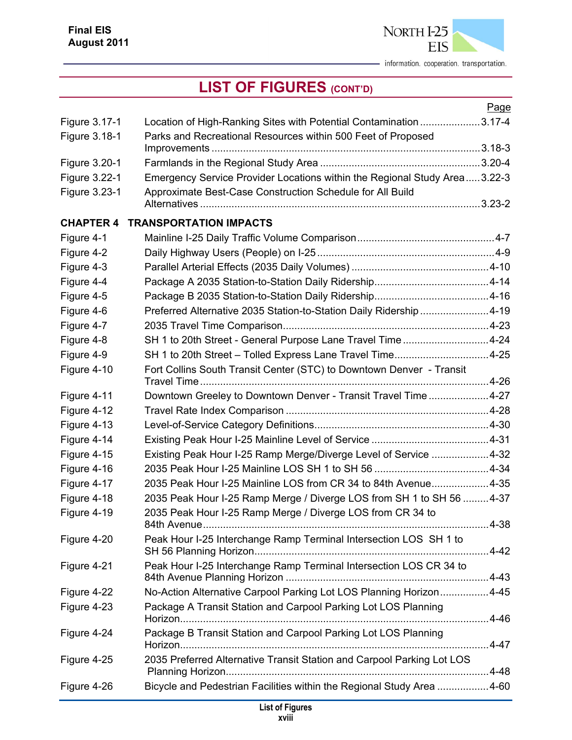

|                  |                                                                           | Page |
|------------------|---------------------------------------------------------------------------|------|
| Figure 3.17-1    | Location of High-Ranking Sites with Potential Contamination 3.17-4        |      |
| Figure 3.18-1    | Parks and Recreational Resources within 500 Feet of Proposed              |      |
|                  |                                                                           |      |
| Figure 3.20-1    |                                                                           |      |
| Figure 3.22-1    | Emergency Service Provider Locations within the Regional Study Area3.22-3 |      |
| Figure 3.23-1    | Approximate Best-Case Construction Schedule for All Build                 |      |
|                  |                                                                           |      |
| <b>CHAPTER 4</b> | <b>TRANSPORTATION IMPACTS</b>                                             |      |
| Figure 4-1       |                                                                           |      |
| Figure 4-2       |                                                                           |      |
| Figure 4-3       |                                                                           |      |
| Figure 4-4       |                                                                           |      |
| Figure 4-5       |                                                                           |      |
| Figure 4-6       | Preferred Alternative 2035 Station-to-Station Daily Ridership 4-19        |      |
| Figure 4-7       |                                                                           |      |
| Figure 4-8       | SH 1 to 20th Street - General Purpose Lane Travel Time4-24                |      |
| Figure 4-9       | SH 1 to 20th Street - Tolled Express Lane Travel Time4-25                 |      |
| Figure 4-10      | Fort Collins South Transit Center (STC) to Downtown Denver - Transit      |      |
| Figure 4-11      | Downtown Greeley to Downtown Denver - Transit Travel Time4-27             |      |
| Figure 4-12      |                                                                           |      |
| Figure 4-13      |                                                                           |      |
| Figure 4-14      |                                                                           |      |
| Figure 4-15      | Existing Peak Hour I-25 Ramp Merge/Diverge Level of Service 4-32          |      |
| Figure 4-16      |                                                                           |      |
| Figure 4-17      | 2035 Peak Hour I-25 Mainline LOS from CR 34 to 84th Avenue4-35            |      |
| Figure 4-18      | 2035 Peak Hour I-25 Ramp Merge / Diverge LOS from SH 1 to SH 56 4-37      |      |
| Figure 4-19      | 2035 Peak Hour I-25 Ramp Merge / Diverge LOS from CR 34 to                |      |
| Figure 4-20      | Peak Hour I-25 Interchange Ramp Terminal Intersection LOS SH 1 to         |      |
|                  |                                                                           |      |
| Figure 4-21      | Peak Hour I-25 Interchange Ramp Terminal Intersection LOS CR 34 to        |      |
| Figure 4-22      | No-Action Alternative Carpool Parking Lot LOS Planning Horizon4-45        |      |
| Figure 4-23      | Package A Transit Station and Carpool Parking Lot LOS Planning            |      |
| Figure 4-24      | Package B Transit Station and Carpool Parking Lot LOS Planning            |      |
| Figure 4-25      | 2035 Preferred Alternative Transit Station and Carpool Parking Lot LOS    |      |
| Figure 4-26      | Bicycle and Pedestrian Facilities within the Regional Study Area 4-60     |      |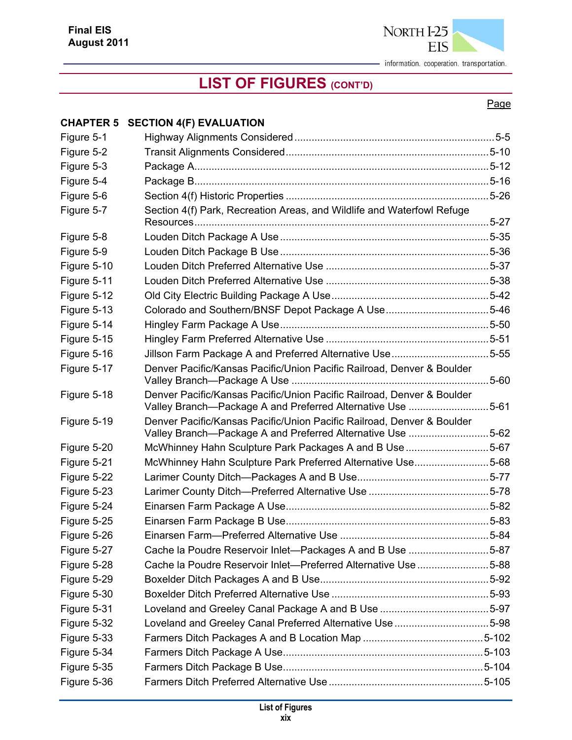

## **LIST OF FIGURES (CONT'D)**

#### Page

#### **CHAPTER 5 SECTION 4(F) EVALUATION**

| Figure 5-1  |                                                                                                                                      |           |
|-------------|--------------------------------------------------------------------------------------------------------------------------------------|-----------|
| Figure 5-2  |                                                                                                                                      |           |
| Figure 5-3  |                                                                                                                                      |           |
| Figure 5-4  |                                                                                                                                      |           |
| Figure 5-6  |                                                                                                                                      |           |
| Figure 5-7  | Section 4(f) Park, Recreation Areas, and Wildlife and Waterfowl Refuge                                                               |           |
| Figure 5-8  |                                                                                                                                      |           |
| Figure 5-9  |                                                                                                                                      |           |
| Figure 5-10 |                                                                                                                                      |           |
| Figure 5-11 |                                                                                                                                      |           |
| Figure 5-12 |                                                                                                                                      |           |
| Figure 5-13 | Colorado and Southern/BNSF Depot Package A Use5-46                                                                                   |           |
| Figure 5-14 |                                                                                                                                      |           |
| Figure 5-15 |                                                                                                                                      |           |
| Figure 5-16 |                                                                                                                                      |           |
| Figure 5-17 | Denver Pacific/Kansas Pacific/Union Pacific Railroad, Denver & Boulder                                                               | $.5 - 60$ |
| Figure 5-18 | Denver Pacific/Kansas Pacific/Union Pacific Railroad, Denver & Boulder<br>Valley Branch-Package A and Preferred Alternative Use 5-61 |           |
| Figure 5-19 | Denver Pacific/Kansas Pacific/Union Pacific Railroad, Denver & Boulder<br>Valley Branch-Package A and Preferred Alternative Use 5-62 |           |
| Figure 5-20 | McWhinney Hahn Sculpture Park Packages A and B Use 5-67                                                                              |           |
| Figure 5-21 | McWhinney Hahn Sculpture Park Preferred Alternative Use5-68                                                                          |           |
| Figure 5-22 |                                                                                                                                      |           |
| Figure 5-23 |                                                                                                                                      |           |
| Figure 5-24 |                                                                                                                                      |           |
| Figure 5-25 |                                                                                                                                      |           |
| Figure 5-26 |                                                                                                                                      |           |
| Figure 5-27 | Cache la Poudre Reservoir Inlet-Packages A and B Use 5-87                                                                            |           |
| Figure 5-28 | Cache la Poudre Reservoir Inlet-Preferred Alternative Use 5-88                                                                       |           |
| Figure 5-29 |                                                                                                                                      |           |
| Figure 5-30 |                                                                                                                                      |           |
| Figure 5-31 |                                                                                                                                      |           |
| Figure 5-32 | Loveland and Greeley Canal Preferred Alternative Use 5-98                                                                            |           |
| Figure 5-33 |                                                                                                                                      |           |
| Figure 5-34 |                                                                                                                                      |           |
| Figure 5-35 |                                                                                                                                      |           |
| Figure 5-36 |                                                                                                                                      |           |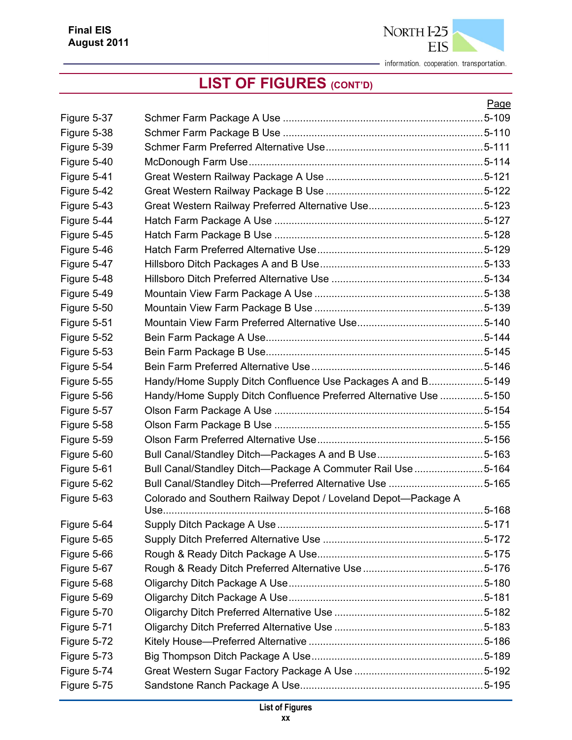

|             |                                                                    | Page |
|-------------|--------------------------------------------------------------------|------|
| Figure 5-37 |                                                                    |      |
| Figure 5-38 |                                                                    |      |
| Figure 5-39 |                                                                    |      |
| Figure 5-40 |                                                                    |      |
| Figure 5-41 |                                                                    |      |
| Figure 5-42 |                                                                    |      |
| Figure 5-43 |                                                                    |      |
| Figure 5-44 |                                                                    |      |
| Figure 5-45 |                                                                    |      |
| Figure 5-46 |                                                                    |      |
| Figure 5-47 |                                                                    |      |
| Figure 5-48 |                                                                    |      |
| Figure 5-49 |                                                                    |      |
| Figure 5-50 |                                                                    |      |
| Figure 5-51 |                                                                    |      |
| Figure 5-52 |                                                                    |      |
| Figure 5-53 |                                                                    |      |
| Figure 5-54 |                                                                    |      |
| Figure 5-55 | Handy/Home Supply Ditch Confluence Use Packages A and B5-149       |      |
| Figure 5-56 | Handy/Home Supply Ditch Confluence Preferred Alternative Use 5-150 |      |
| Figure 5-57 |                                                                    |      |
| Figure 5-58 |                                                                    |      |
| Figure 5-59 |                                                                    |      |
| Figure 5-60 |                                                                    |      |
| Figure 5-61 | Bull Canal/Standley Ditch-Package A Commuter Rail Use 5-164        |      |
| Figure 5-62 | Bull Canal/Standley Ditch—Preferred Alternative Use 5-165          |      |
| Figure 5-63 | Colorado and Southern Railway Depot / Loveland Depot-Package A     |      |
|             |                                                                    |      |
| Figure 5-64 |                                                                    |      |
| Figure 5-65 |                                                                    |      |
| Figure 5-66 |                                                                    |      |
| Figure 5-67 |                                                                    |      |
| Figure 5-68 |                                                                    |      |
| Figure 5-69 |                                                                    |      |
| Figure 5-70 |                                                                    |      |
| Figure 5-71 |                                                                    |      |
| Figure 5-72 |                                                                    |      |
| Figure 5-73 |                                                                    |      |
| Figure 5-74 |                                                                    |      |
| Figure 5-75 |                                                                    |      |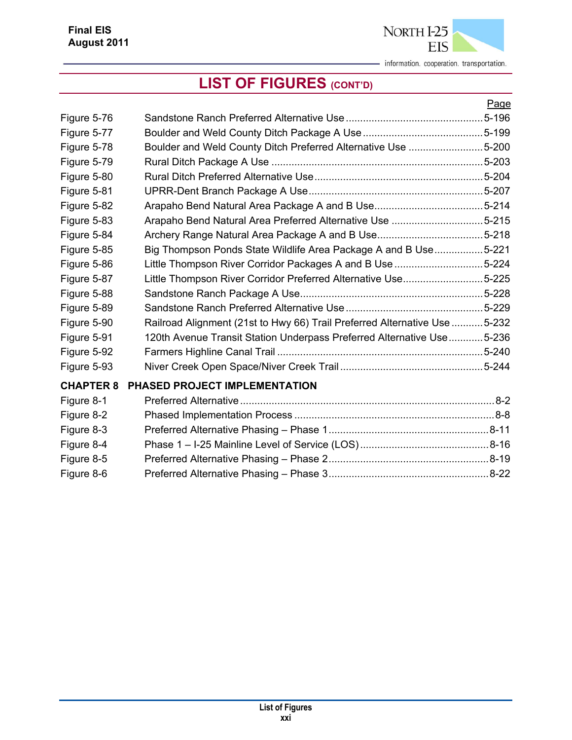|                  |                                                                            | Page |
|------------------|----------------------------------------------------------------------------|------|
| Figure 5-76      |                                                                            |      |
| Figure 5-77      |                                                                            |      |
| Figure 5-78      | Boulder and Weld County Ditch Preferred Alternative Use 5-200              |      |
| Figure 5-79      |                                                                            |      |
| Figure 5-80      |                                                                            |      |
| Figure 5-81      |                                                                            |      |
| Figure 5-82      |                                                                            |      |
| Figure 5-83      | Arapaho Bend Natural Area Preferred Alternative Use 5-215                  |      |
| Figure 5-84      |                                                                            |      |
| Figure 5-85      | Big Thompson Ponds State Wildlife Area Package A and B Use5-221            |      |
| Figure 5-86      | Little Thompson River Corridor Packages A and B Use 5-224                  |      |
| Figure 5-87      | Little Thompson River Corridor Preferred Alternative Use5-225              |      |
| Figure 5-88      |                                                                            |      |
| Figure 5-89      |                                                                            |      |
| Figure 5-90      | Railroad Alignment (21st to Hwy 66) Trail Preferred Alternative Use  5-232 |      |
| Figure 5-91      | 120th Avenue Transit Station Underpass Preferred Alternative Use5-236      |      |
| Figure 5-92      |                                                                            |      |
| Figure 5-93      |                                                                            |      |
| <b>CHAPTER 8</b> | PHASED PROJECT IMPLEMENTATION                                              |      |
| Figure 8-1       |                                                                            |      |
| Figure 8-2       |                                                                            |      |
| Figure 8-3       |                                                                            |      |
| Figure 8-4       |                                                                            |      |
| Figure 8-5       |                                                                            |      |
| Figure 8-6       |                                                                            |      |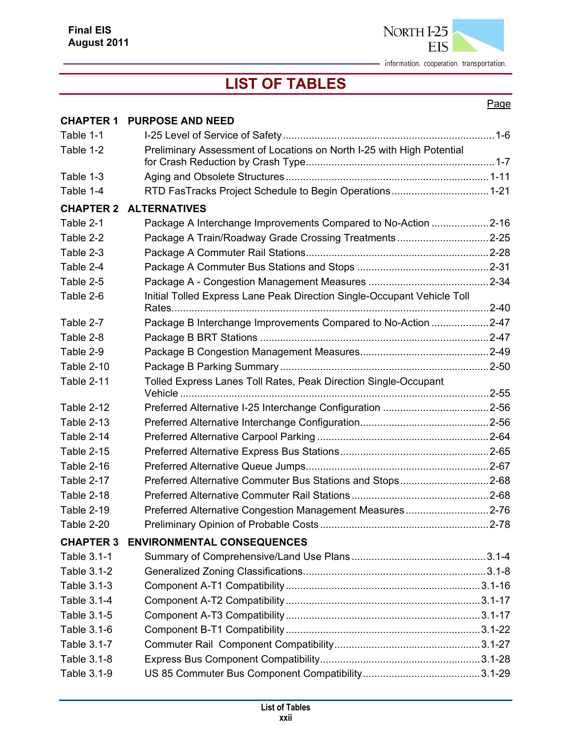

## **LIST OF TABLES**

#### Page

| <b>CHAPTER 1</b>  | <b>PURPOSE AND NEED</b>                                                 |  |
|-------------------|-------------------------------------------------------------------------|--|
| Table 1-1         |                                                                         |  |
| Table 1-2         | Preliminary Assessment of Locations on North I-25 with High Potential   |  |
| Table 1-3         |                                                                         |  |
| Table 1-4         |                                                                         |  |
| <b>CHAPTER 2</b>  | <b>ALTERNATIVES</b>                                                     |  |
| Table 2-1         | Package A Interchange Improvements Compared to No-Action 2-16           |  |
| Table 2-2         | Package A Train/Roadway Grade Crossing Treatments2-25                   |  |
| Table 2-3         |                                                                         |  |
| Table 2-4         |                                                                         |  |
| Table 2-5         |                                                                         |  |
| Table 2-6         | Initial Tolled Express Lane Peak Direction Single-Occupant Vehicle Toll |  |
| Table 2-7         | Package B Interchange Improvements Compared to No-Action 2-47           |  |
| Table 2-8         |                                                                         |  |
| Table 2-9         |                                                                         |  |
| <b>Table 2-10</b> |                                                                         |  |
| Table 2-11        | Tolled Express Lanes Toll Rates, Peak Direction Single-Occupant         |  |
| Table 2-12        |                                                                         |  |
| Table 2-13        |                                                                         |  |
| Table 2-14        |                                                                         |  |
| <b>Table 2-15</b> |                                                                         |  |
| Table 2-16        |                                                                         |  |
| Table 2-17        | Preferred Alternative Commuter Bus Stations and Stops2-68               |  |
| Table 2-18        |                                                                         |  |
| Table 2-19        | Preferred Alternative Congestion Management Measures2-76                |  |
| Table 2-20        |                                                                         |  |
| <b>CHAPTER 3</b>  | <b>ENVIRONMENTAL CONSEQUENCES</b>                                       |  |
| Table 3.1-1       |                                                                         |  |
| Table 3.1-2       |                                                                         |  |
| Table 3.1-3       |                                                                         |  |
| Table 3.1-4       |                                                                         |  |
| Table 3.1-5       |                                                                         |  |
| Table 3.1-6       |                                                                         |  |
| Table 3.1-7       |                                                                         |  |
| Table 3.1-8       |                                                                         |  |
| Table 3.1-9       |                                                                         |  |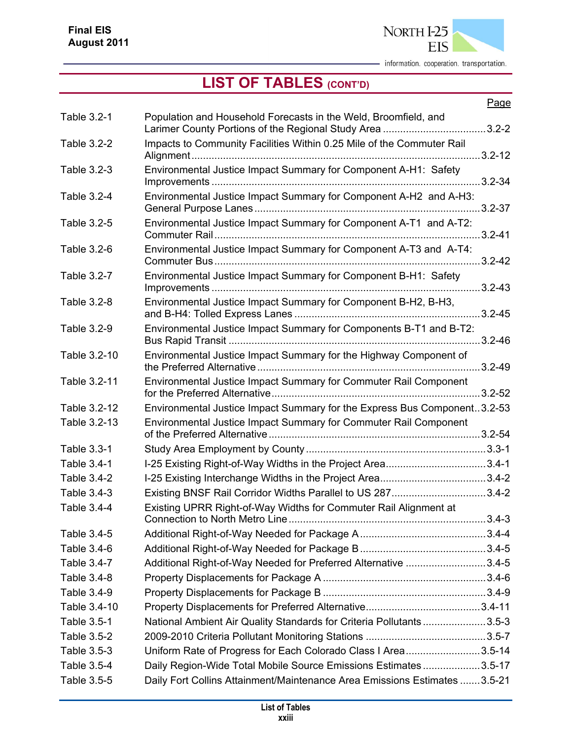

|              |                                                                                                                             | Page       |
|--------------|-----------------------------------------------------------------------------------------------------------------------------|------------|
| Table 3.2-1  | Population and Household Forecasts in the Weld, Broomfield, and<br>Larimer County Portions of the Regional Study Area 3.2-2 |            |
| Table 3.2-2  | Impacts to Community Facilities Within 0.25 Mile of the Commuter Rail                                                       |            |
| Table 3.2-3  | Environmental Justice Impact Summary for Component A-H1: Safety                                                             | $3.2 - 34$ |
| Table 3.2-4  | Environmental Justice Impact Summary for Component A-H2 and A-H3:                                                           |            |
| Table 3.2-5  | Environmental Justice Impact Summary for Component A-T1 and A-T2:                                                           |            |
| Table 3.2-6  | Environmental Justice Impact Summary for Component A-T3 and A-T4:                                                           | $3.2 - 42$ |
| Table 3.2-7  | Environmental Justice Impact Summary for Component B-H1: Safety                                                             |            |
| Table 3.2-8  | Environmental Justice Impact Summary for Component B-H2, B-H3,                                                              |            |
| Table 3.2-9  | Environmental Justice Impact Summary for Components B-T1 and B-T2:                                                          | $3.2 - 46$ |
| Table 3.2-10 | Environmental Justice Impact Summary for the Highway Component of                                                           |            |
| Table 3.2-11 | Environmental Justice Impact Summary for Commuter Rail Component                                                            | $3.2 - 52$ |
| Table 3.2-12 | Environmental Justice Impact Summary for the Express Bus Component3.2-53                                                    |            |
| Table 3.2-13 | Environmental Justice Impact Summary for Commuter Rail Component                                                            |            |
| Table 3.3-1  |                                                                                                                             |            |
| Table 3.4-1  | I-25 Existing Right-of-Way Widths in the Project Area3.4-1                                                                  |            |
| Table 3.4-2  |                                                                                                                             |            |
| Table 3.4-3  | Existing BNSF Rail Corridor Widths Parallel to US 2873.4-2                                                                  |            |
| Table 3.4-4  | Existing UPRR Right-of-Way Widths for Commuter Rail Alignment at                                                            |            |
| Table 3.4-5  |                                                                                                                             |            |
| Table 3.4-6  |                                                                                                                             |            |
| Table 3.4-7  | Additional Right-of-Way Needed for Preferred Alternative 3.4-5                                                              |            |
| Table 3.4-8  |                                                                                                                             |            |
| Table 3.4-9  |                                                                                                                             |            |
| Table 3.4-10 |                                                                                                                             |            |
| Table 3.5-1  | National Ambient Air Quality Standards for Criteria Pollutants3.5-3                                                         |            |
| Table 3.5-2  |                                                                                                                             |            |
| Table 3.5-3  | Uniform Rate of Progress for Each Colorado Class I Area3.5-14                                                               |            |
| Table 3.5-4  | Daily Region-Wide Total Mobile Source Emissions Estimates3.5-17                                                             |            |
| Table 3.5-5  | Daily Fort Collins Attainment/Maintenance Area Emissions Estimates  3.5-21                                                  |            |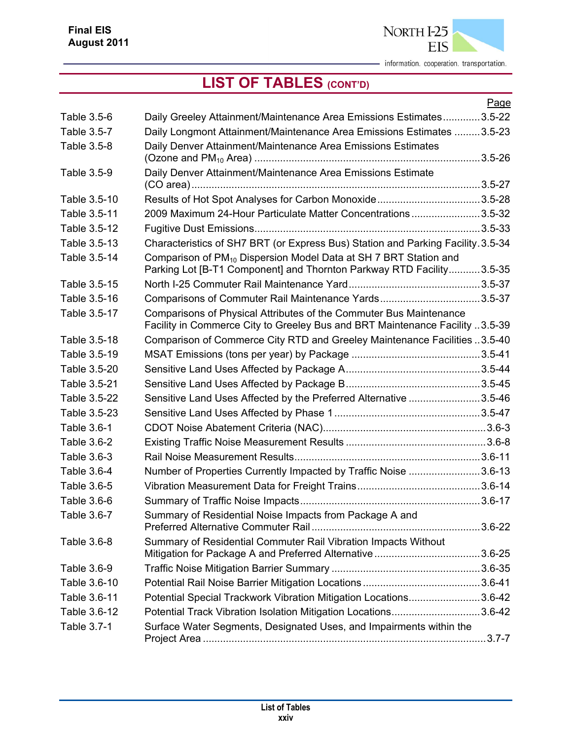

|              |                                                                                                                                                      | Page |
|--------------|------------------------------------------------------------------------------------------------------------------------------------------------------|------|
| Table 3.5-6  | Daily Greeley Attainment/Maintenance Area Emissions Estimates3.5-22                                                                                  |      |
| Table 3.5-7  | Daily Longmont Attainment/Maintenance Area Emissions Estimates 3.5-23                                                                                |      |
| Table 3.5-8  | Daily Denver Attainment/Maintenance Area Emissions Estimates                                                                                         |      |
| Table 3.5-9  | Daily Denver Attainment/Maintenance Area Emissions Estimate                                                                                          |      |
|              |                                                                                                                                                      |      |
| Table 3.5-10 |                                                                                                                                                      |      |
| Table 3.5-11 | 2009 Maximum 24-Hour Particulate Matter Concentrations3.5-32                                                                                         |      |
| Table 3.5-12 |                                                                                                                                                      |      |
| Table 3.5-13 | Characteristics of SH7 BRT (or Express Bus) Station and Parking Facility. 3.5-34                                                                     |      |
| Table 3.5-14 | Comparison of PM <sub>10</sub> Dispersion Model Data at SH 7 BRT Station and<br>Parking Lot [B-T1 Component] and Thornton Parkway RTD Facility3.5-35 |      |
| Table 3.5-15 |                                                                                                                                                      |      |
| Table 3.5-16 | Comparisons of Commuter Rail Maintenance Yards3.5-37                                                                                                 |      |
| Table 3.5-17 | Comparisons of Physical Attributes of the Commuter Bus Maintenance                                                                                   |      |
|              | Facility in Commerce City to Greeley Bus and BRT Maintenance Facility 3.5-39                                                                         |      |
| Table 3.5-18 | Comparison of Commerce City RTD and Greeley Maintenance Facilities 3.5-40                                                                            |      |
| Table 3.5-19 |                                                                                                                                                      |      |
| Table 3.5-20 |                                                                                                                                                      |      |
| Table 3.5-21 |                                                                                                                                                      |      |
| Table 3.5-22 | Sensitive Land Uses Affected by the Preferred Alternative 3.5-46                                                                                     |      |
| Table 3.5-23 |                                                                                                                                                      |      |
| Table 3.6-1  |                                                                                                                                                      |      |
| Table 3.6-2  |                                                                                                                                                      |      |
| Table 3.6-3  |                                                                                                                                                      |      |
| Table 3.6-4  | Number of Properties Currently Impacted by Traffic Noise 3.6-13                                                                                      |      |
| Table 3.6-5  |                                                                                                                                                      |      |
| Table 3.6-6  |                                                                                                                                                      |      |
| Table 3.6-7  | Summary of Residential Noise Impacts from Package A and                                                                                              |      |
| Table 3.6-8  | Summary of Residential Commuter Rail Vibration Impacts Without                                                                                       |      |
| Table 3.6-9  |                                                                                                                                                      |      |
| Table 3.6-10 |                                                                                                                                                      |      |
| Table 3.6-11 | Potential Special Trackwork Vibration Mitigation Locations3.6-42                                                                                     |      |
| Table 3.6-12 | Potential Track Vibration Isolation Mitigation Locations3.6-42                                                                                       |      |
| Table 3.7-1  | Surface Water Segments, Designated Uses, and Impairments within the                                                                                  |      |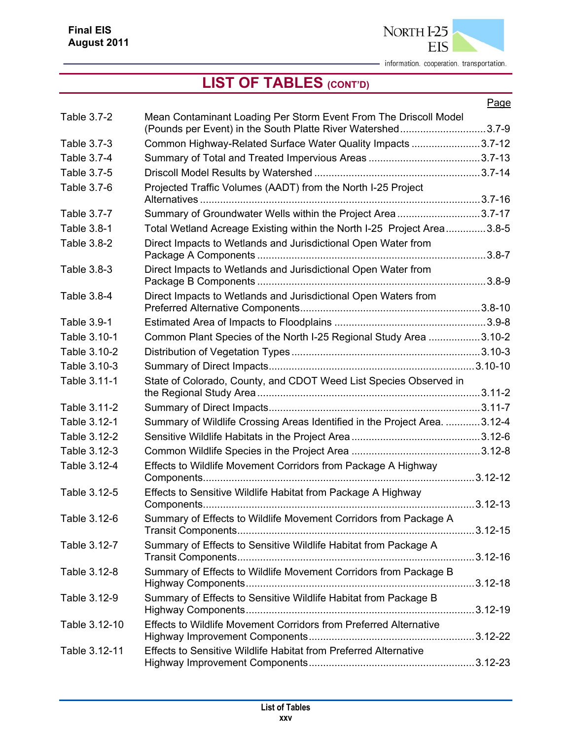

|               |                                                                                                                                 | Page |
|---------------|---------------------------------------------------------------------------------------------------------------------------------|------|
| Table 3.7-2   | Mean Contaminant Loading Per Storm Event From The Driscoll Model<br>(Pounds per Event) in the South Platte River Watershed3.7-9 |      |
| Table 3.7-3   | Common Highway-Related Surface Water Quality Impacts 3.7-12                                                                     |      |
| Table 3.7-4   |                                                                                                                                 |      |
| Table 3.7-5   |                                                                                                                                 |      |
|               |                                                                                                                                 |      |
| Table 3.7-6   | Projected Traffic Volumes (AADT) from the North I-25 Project                                                                    |      |
| Table 3.7-7   | Summary of Groundwater Wells within the Project Area3.7-17                                                                      |      |
| Table 3.8-1   | Total Wetland Acreage Existing within the North I-25 Project Area3.8-5                                                          |      |
| Table 3.8-2   | Direct Impacts to Wetlands and Jurisdictional Open Water from                                                                   |      |
| Table 3.8-3   | Direct Impacts to Wetlands and Jurisdictional Open Water from                                                                   |      |
| Table 3.8-4   | Direct Impacts to Wetlands and Jurisdictional Open Waters from                                                                  |      |
| Table 3.9-1   |                                                                                                                                 |      |
| Table 3.10-1  | Common Plant Species of the North I-25 Regional Study Area 3.10-2                                                               |      |
| Table 3.10-2  |                                                                                                                                 |      |
| Table 3.10-3  |                                                                                                                                 |      |
| Table 3.11-1  | State of Colorado, County, and CDOT Weed List Species Observed in                                                               |      |
| Table 3.11-2  |                                                                                                                                 |      |
| Table 3.12-1  | Summary of Wildlife Crossing Areas Identified in the Project Area. 3.12-4                                                       |      |
| Table 3.12-2  |                                                                                                                                 |      |
| Table 3.12-3  |                                                                                                                                 |      |
| Table 3.12-4  | Effects to Wildlife Movement Corridors from Package A Highway                                                                   |      |
| Table 3.12-5  | Effects to Sensitive Wildlife Habitat from Package A Highway                                                                    |      |
| Table 3.12-6  | Summary of Effects to Wildlife Movement Corridors from Package A                                                                |      |
| Table 3.12-7  | Summary of Effects to Sensitive Wildlife Habitat from Package A                                                                 |      |
| Table 3.12-8  | Summary of Effects to Wildlife Movement Corridors from Package B                                                                |      |
| Table 3.12-9  | Summary of Effects to Sensitive Wildlife Habitat from Package B                                                                 |      |
| Table 3.12-10 | Effects to Wildlife Movement Corridors from Preferred Alternative                                                               |      |
| Table 3.12-11 | <b>Effects to Sensitive Wildlife Habitat from Preferred Alternative</b>                                                         |      |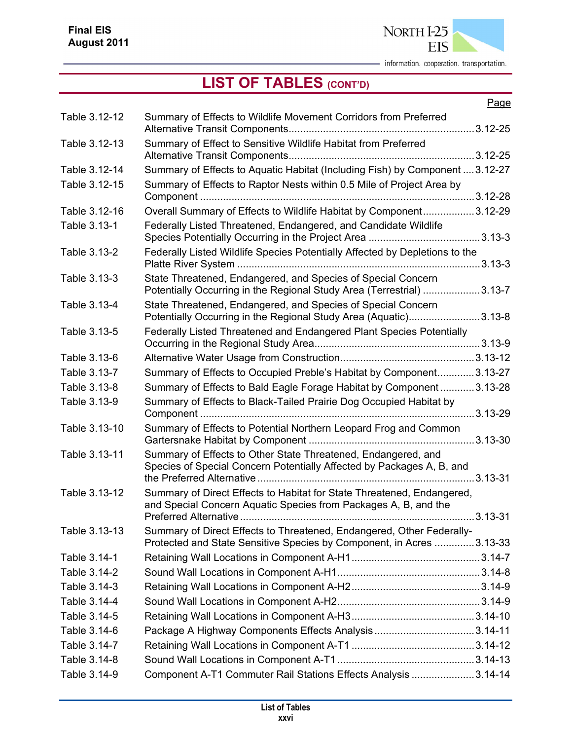

|               |                                                                                                                                               | Page        |
|---------------|-----------------------------------------------------------------------------------------------------------------------------------------------|-------------|
| Table 3.12-12 | Summary of Effects to Wildlife Movement Corridors from Preferred                                                                              |             |
| Table 3.12-13 | Summary of Effect to Sensitive Wildlife Habitat from Preferred                                                                                |             |
|               |                                                                                                                                               |             |
| Table 3.12-14 | Summary of Effects to Aquatic Habitat (Including Fish) by Component  3.12-27                                                                  |             |
| Table 3.12-15 | Summary of Effects to Raptor Nests within 0.5 Mile of Project Area by                                                                         |             |
| Table 3.12-16 | Overall Summary of Effects to Wildlife Habitat by Component3.12-29                                                                            |             |
| Table 3.13-1  | Federally Listed Threatened, Endangered, and Candidate Wildlife                                                                               |             |
| Table 3.13-2  | Federally Listed Wildlife Species Potentially Affected by Depletions to the                                                                   |             |
| Table 3.13-3  | State Threatened, Endangered, and Species of Special Concern<br>Potentially Occurring in the Regional Study Area (Terrestrial) 3.13-7         |             |
| Table 3.13-4  | State Threatened, Endangered, and Species of Special Concern<br>Potentially Occurring in the Regional Study Area (Aquatic)3.13-8              |             |
| Table 3.13-5  | Federally Listed Threatened and Endangered Plant Species Potentially                                                                          |             |
| Table 3.13-6  |                                                                                                                                               |             |
| Table 3.13-7  | Summary of Effects to Occupied Preble's Habitat by Component3.13-27                                                                           |             |
| Table 3.13-8  | Summary of Effects to Bald Eagle Forage Habitat by Component3.13-28                                                                           |             |
| Table 3.13-9  | Summary of Effects to Black-Tailed Prairie Dog Occupied Habitat by                                                                            |             |
| Table 3.13-10 | Summary of Effects to Potential Northern Leopard Frog and Common                                                                              |             |
| Table 3.13-11 | Summary of Effects to Other State Threatened, Endangered, and<br>Species of Special Concern Potentially Affected by Packages A, B, and        |             |
| Table 3.13-12 | Summary of Direct Effects to Habitat for State Threatened, Endangered,                                                                        |             |
|               | and Special Concern Aquatic Species from Packages A, B, and the                                                                               | $3.13 - 31$ |
| Table 3.13-13 | Summary of Direct Effects to Threatened, Endangered, Other Federally-<br>Protected and State Sensitive Species by Component, in Acres 3.13-33 |             |
| Table 3.14-1  |                                                                                                                                               |             |
| Table 3.14-2  |                                                                                                                                               |             |
| Table 3.14-3  |                                                                                                                                               |             |
| Table 3.14-4  |                                                                                                                                               |             |
| Table 3.14-5  |                                                                                                                                               |             |
| Table 3.14-6  |                                                                                                                                               |             |
| Table 3.14-7  |                                                                                                                                               |             |
| Table 3.14-8  |                                                                                                                                               |             |
| Table 3.14-9  | Component A-T1 Commuter Rail Stations Effects Analysis 3.14-14                                                                                |             |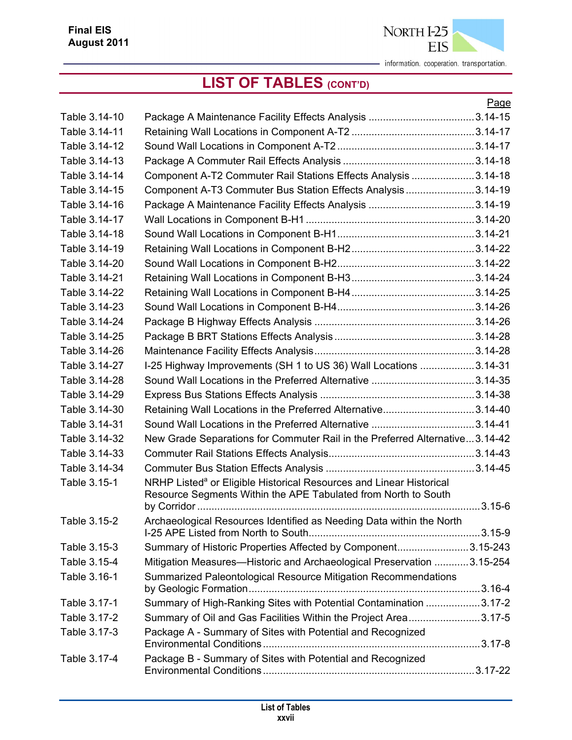

|               |                                                                                                                                                   | Page |
|---------------|---------------------------------------------------------------------------------------------------------------------------------------------------|------|
| Table 3.14-10 |                                                                                                                                                   |      |
| Table 3.14-11 |                                                                                                                                                   |      |
| Table 3.14-12 |                                                                                                                                                   |      |
| Table 3.14-13 |                                                                                                                                                   |      |
| Table 3.14-14 | Component A-T2 Commuter Rail Stations Effects Analysis 3.14-18                                                                                    |      |
| Table 3.14-15 | Component A-T3 Commuter Bus Station Effects Analysis3.14-19                                                                                       |      |
| Table 3.14-16 |                                                                                                                                                   |      |
| Table 3.14-17 |                                                                                                                                                   |      |
| Table 3.14-18 |                                                                                                                                                   |      |
| Table 3.14-19 |                                                                                                                                                   |      |
| Table 3.14-20 |                                                                                                                                                   |      |
| Table 3.14-21 |                                                                                                                                                   |      |
| Table 3.14-22 |                                                                                                                                                   |      |
| Table 3.14-23 |                                                                                                                                                   |      |
| Table 3.14-24 |                                                                                                                                                   |      |
| Table 3.14-25 |                                                                                                                                                   |      |
| Table 3.14-26 |                                                                                                                                                   |      |
| Table 3.14-27 | I-25 Highway Improvements (SH 1 to US 36) Wall Locations 3.14-31                                                                                  |      |
| Table 3.14-28 | Sound Wall Locations in the Preferred Alternative 3.14-35                                                                                         |      |
| Table 3.14-29 |                                                                                                                                                   |      |
| Table 3.14-30 | Retaining Wall Locations in the Preferred Alternative3.14-40                                                                                      |      |
| Table 3.14-31 | Sound Wall Locations in the Preferred Alternative 3.14-41                                                                                         |      |
| Table 3.14-32 | New Grade Separations for Commuter Rail in the Preferred Alternative3.14-42                                                                       |      |
| Table 3.14-33 |                                                                                                                                                   |      |
| Table 3.14-34 |                                                                                                                                                   |      |
| Table 3.15-1  | NRHP Listed <sup>a</sup> or Eligible Historical Resources and Linear Historical<br>Resource Segments Within the APE Tabulated from North to South |      |
|               |                                                                                                                                                   |      |
| Table 3.15-2  | Archaeological Resources Identified as Needing Data within the North                                                                              |      |
| Table 3.15-3  | Summary of Historic Properties Affected by Component3.15-243                                                                                      |      |
| Table 3.15-4  | Mitigation Measures—Historic and Archaeological Preservation 3.15-254                                                                             |      |
| Table 3.16-1  | Summarized Paleontological Resource Mitigation Recommendations                                                                                    |      |
| Table 3.17-1  | Summary of High-Ranking Sites with Potential Contamination 3.17-2                                                                                 |      |
| Table 3.17-2  | Summary of Oil and Gas Facilities Within the Project Area3.17-5                                                                                   |      |
| Table 3.17-3  | Package A - Summary of Sites with Potential and Recognized                                                                                        |      |
| Table 3.17-4  | Package B - Summary of Sites with Potential and Recognized                                                                                        |      |
|               |                                                                                                                                                   |      |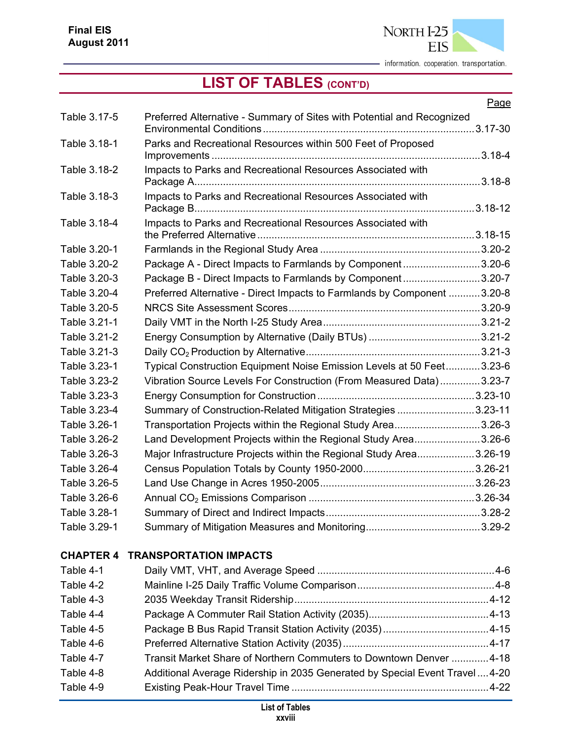

|                  |                                                                            | Page |
|------------------|----------------------------------------------------------------------------|------|
| Table 3.17-5     | Preferred Alternative - Summary of Sites with Potential and Recognized     |      |
| Table 3.18-1     | Parks and Recreational Resources within 500 Feet of Proposed               |      |
| Table 3.18-2     | Impacts to Parks and Recreational Resources Associated with                |      |
| Table 3.18-3     | Impacts to Parks and Recreational Resources Associated with                |      |
| Table 3.18-4     | Impacts to Parks and Recreational Resources Associated with                |      |
| Table 3.20-1     |                                                                            |      |
| Table 3.20-2     | Package A - Direct Impacts to Farmlands by Component3.20-6                 |      |
| Table 3.20-3     | Package B - Direct Impacts to Farmlands by Component3.20-7                 |      |
| Table 3.20-4     | Preferred Alternative - Direct Impacts to Farmlands by Component 3.20-8    |      |
| Table 3.20-5     |                                                                            |      |
| Table 3.21-1     |                                                                            |      |
| Table 3.21-2     |                                                                            |      |
| Table 3.21-3     |                                                                            |      |
| Table 3.23-1     | Typical Construction Equipment Noise Emission Levels at 50 Feet3.23-6      |      |
| Table 3.23-2     | Vibration Source Levels For Construction (From Measured Data)3.23-7        |      |
| Table 3.23-3     |                                                                            |      |
| Table 3.23-4     | Summary of Construction-Related Mitigation Strategies 3.23-11              |      |
| Table 3.26-1     | Transportation Projects within the Regional Study Area3.26-3               |      |
| Table 3.26-2     | Land Development Projects within the Regional Study Area3.26-6             |      |
| Table 3.26-3     | Major Infrastructure Projects within the Regional Study Area3.26-19        |      |
| Table 3.26-4     |                                                                            |      |
| Table 3.26-5     |                                                                            |      |
| Table 3.26-6     |                                                                            |      |
| Table 3.28-1     |                                                                            |      |
| Table 3.29-1     |                                                                            |      |
| <b>CHAPTER 4</b> | <b>TRANSPORTATION IMPACTS</b>                                              |      |
| Table 4-1        |                                                                            |      |
| Table 4-2        |                                                                            |      |
| Table 4-3        |                                                                            |      |
| Table 4-4        |                                                                            |      |
| Table 4-5        |                                                                            |      |
| Table 4-6        |                                                                            |      |
| Table 4-7        | Transit Market Share of Northern Commuters to Downtown Denver 4-18         |      |
| Table 4-8        | Additional Average Ridership in 2035 Generated by Special Event Travel4-20 |      |
| Table 4-9        |                                                                            |      |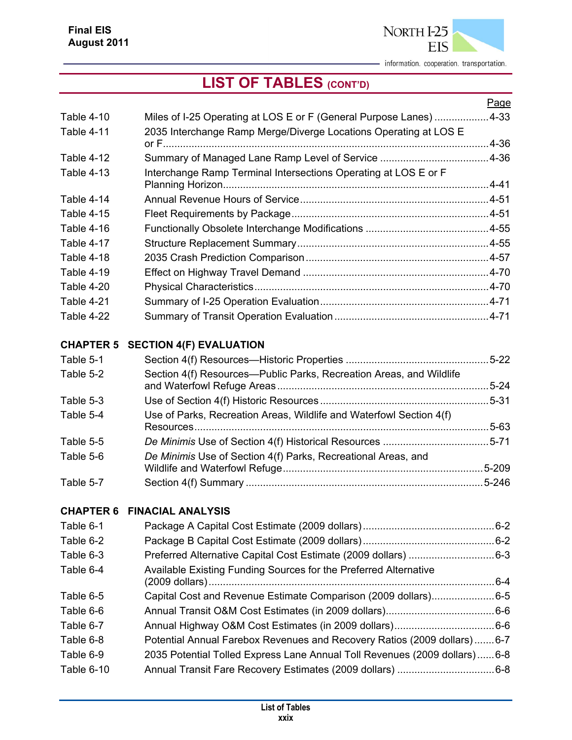

## **LIST OF TABLES (CONT'D)**

|            |                                                                  | Page      |
|------------|------------------------------------------------------------------|-----------|
| Table 4-10 | Miles of I-25 Operating at LOS E or F (General Purpose Lanes)    | $.4 - 33$ |
| Table 4-11 | 2035 Interchange Ramp Merge/Diverge Locations Operating at LOS E |           |
|            |                                                                  | .4-36     |
| Table 4-12 |                                                                  |           |
| Table 4-13 | Interchange Ramp Terminal Intersections Operating at LOS E or F  |           |
|            |                                                                  | $.4 - 41$ |
| Table 4-14 |                                                                  |           |
| Table 4-15 |                                                                  |           |
| Table 4-16 |                                                                  |           |
| Table 4-17 |                                                                  |           |
| Table 4-18 |                                                                  |           |
| Table 4-19 |                                                                  |           |
| Table 4-20 |                                                                  |           |
| Table 4-21 |                                                                  |           |
| Table 4-22 |                                                                  |           |
|            |                                                                  |           |

#### **CHAPTER 5 SECTION 4(F) EVALUATION**

| Table 5-1 |                                                                     |       |
|-----------|---------------------------------------------------------------------|-------|
| Table 5-2 | Section 4(f) Resources-Public Parks, Recreation Areas, and Wildlife |       |
| Table 5-3 |                                                                     |       |
| Table 5-4 | Use of Parks, Recreation Areas, Wildlife and Waterfowl Section 4(f) | .5-63 |
| Table 5-5 |                                                                     |       |
| Table 5-6 | De Minimis Use of Section 4(f) Parks, Recreational Areas, and       |       |
| Table 5-7 |                                                                     |       |

#### **CHAPTER 6 FINACIAL ANALYSIS**

| Table 6-1  |                                                                           |  |
|------------|---------------------------------------------------------------------------|--|
| Table 6-2  |                                                                           |  |
| Table 6-3  |                                                                           |  |
| Table 6-4  | Available Existing Funding Sources for the Preferred Alternative          |  |
| Table 6-5  | Capital Cost and Revenue Estimate Comparison (2009 dollars)6-5            |  |
| Table 6-6  |                                                                           |  |
| Table 6-7  |                                                                           |  |
| Table 6-8  | Potential Annual Farebox Revenues and Recovery Ratios (2009 dollars)6-7   |  |
| Table 6-9  | 2035 Potential Tolled Express Lane Annual Toll Revenues (2009 dollars)6-8 |  |
| Table 6-10 |                                                                           |  |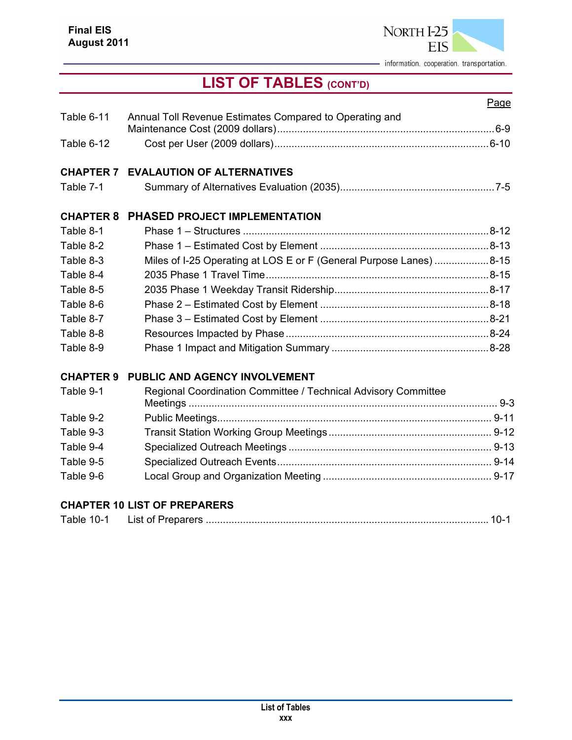

## **LIST OF TABLES (CONT'D)**

|                                                                | Page                                                               |
|----------------------------------------------------------------|--------------------------------------------------------------------|
| Annual Toll Revenue Estimates Compared to Operating and        |                                                                    |
|                                                                |                                                                    |
| <b>CHAPTER 7 EVALAUTION OF ALTERNATIVES</b>                    |                                                                    |
|                                                                |                                                                    |
| PHASED PROJECT IMPLEMENTATION                                  |                                                                    |
|                                                                |                                                                    |
|                                                                |                                                                    |
|                                                                |                                                                    |
|                                                                |                                                                    |
|                                                                |                                                                    |
|                                                                |                                                                    |
|                                                                |                                                                    |
|                                                                |                                                                    |
|                                                                |                                                                    |
| PUBLIC AND AGENCY INVOLVEMENT                                  |                                                                    |
| Regional Coordination Committee / Technical Advisory Committee |                                                                    |
|                                                                |                                                                    |
|                                                                |                                                                    |
|                                                                |                                                                    |
|                                                                |                                                                    |
|                                                                |                                                                    |
|                                                                | Miles of I-25 Operating at LOS E or F (General Purpose Lanes) 8-15 |

#### **CHAPTER 10 LIST OF PREPARERS**

| Table 10-1 | List of Preparers. |  |  |
|------------|--------------------|--|--|
|------------|--------------------|--|--|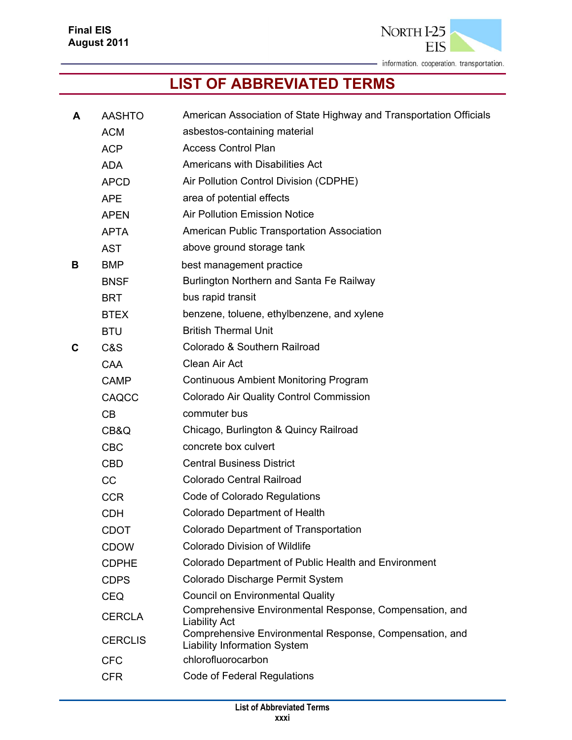

### **LIST OF ABBREVIATED TERMS**

| A | <b>AASHTO</b>  | American Association of State Highway and Transportation Officials                             |
|---|----------------|------------------------------------------------------------------------------------------------|
|   | <b>ACM</b>     | asbestos-containing material                                                                   |
|   | <b>ACP</b>     | <b>Access Control Plan</b>                                                                     |
|   | <b>ADA</b>     | Americans with Disabilities Act                                                                |
|   | <b>APCD</b>    | Air Pollution Control Division (CDPHE)                                                         |
|   | <b>APE</b>     | area of potential effects                                                                      |
|   | <b>APEN</b>    | <b>Air Pollution Emission Notice</b>                                                           |
|   | <b>APTA</b>    | American Public Transportation Association                                                     |
|   | <b>AST</b>     | above ground storage tank                                                                      |
| В | <b>BMP</b>     | best management practice                                                                       |
|   | <b>BNSF</b>    | Burlington Northern and Santa Fe Railway                                                       |
|   | <b>BRT</b>     | bus rapid transit                                                                              |
|   | <b>BTEX</b>    | benzene, toluene, ethylbenzene, and xylene                                                     |
|   | <b>BTU</b>     | <b>British Thermal Unit</b>                                                                    |
| C | C&S            | Colorado & Southern Railroad                                                                   |
|   | CAA            | Clean Air Act                                                                                  |
|   | <b>CAMP</b>    | <b>Continuous Ambient Monitoring Program</b>                                                   |
|   | CAQCC          | <b>Colorado Air Quality Control Commission</b>                                                 |
|   | CB             | commuter bus                                                                                   |
|   | CB&Q           | Chicago, Burlington & Quincy Railroad                                                          |
|   | <b>CBC</b>     | concrete box culvert                                                                           |
|   | <b>CBD</b>     | <b>Central Business District</b>                                                               |
|   | CC             | Colorado Central Railroad                                                                      |
|   | <b>CCR</b>     | Code of Colorado Regulations                                                                   |
|   | <b>CDH</b>     | <b>Colorado Department of Health</b>                                                           |
|   | CDOT           | <b>Colorado Department of Transportation</b>                                                   |
|   | <b>CDOW</b>    | <b>Colorado Division of Wildlife</b>                                                           |
|   | <b>CDPHE</b>   | Colorado Department of Public Health and Environment                                           |
|   | <b>CDPS</b>    | Colorado Discharge Permit System                                                               |
|   | <b>CEQ</b>     | <b>Council on Environmental Quality</b>                                                        |
|   | <b>CERCLA</b>  | Comprehensive Environmental Response, Compensation, and<br><b>Liability Act</b>                |
|   | <b>CERCLIS</b> | Comprehensive Environmental Response, Compensation, and<br><b>Liability Information System</b> |
|   | <b>CFC</b>     | chlorofluorocarbon                                                                             |
|   | <b>CFR</b>     | <b>Code of Federal Regulations</b>                                                             |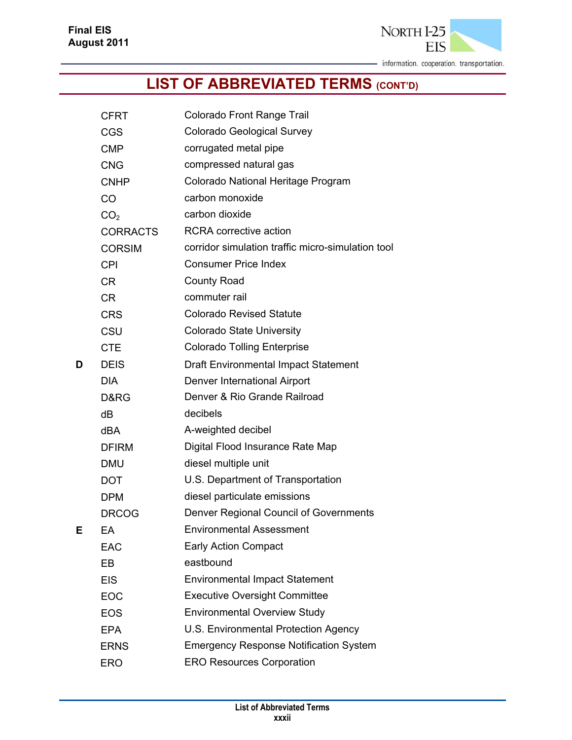

|   | <b>CFRT</b>     | Colorado Front Range Trail                        |
|---|-----------------|---------------------------------------------------|
|   | <b>CGS</b>      | Colorado Geological Survey                        |
|   | <b>CMP</b>      | corrugated metal pipe                             |
|   | <b>CNG</b>      | compressed natural gas                            |
|   | <b>CNHP</b>     | Colorado National Heritage Program                |
|   | CO              | carbon monoxide                                   |
|   | CO <sub>2</sub> | carbon dioxide                                    |
|   | <b>CORRACTS</b> | <b>RCRA</b> corrective action                     |
|   | <b>CORSIM</b>   | corridor simulation traffic micro-simulation tool |
|   | <b>CPI</b>      | <b>Consumer Price Index</b>                       |
|   | <b>CR</b>       | <b>County Road</b>                                |
|   | <b>CR</b>       | commuter rail                                     |
|   | <b>CRS</b>      | <b>Colorado Revised Statute</b>                   |
|   | CSU             | <b>Colorado State University</b>                  |
|   | <b>CTE</b>      | <b>Colorado Tolling Enterprise</b>                |
| D | <b>DEIS</b>     | Draft Environmental Impact Statement              |
|   | <b>DIA</b>      | Denver International Airport                      |
|   | D&RG            | Denver & Rio Grande Railroad                      |
|   | dB              | decibels                                          |
|   | dBA             | A-weighted decibel                                |
|   | <b>DFIRM</b>    | Digital Flood Insurance Rate Map                  |
|   | <b>DMU</b>      | diesel multiple unit                              |
|   | <b>DOT</b>      | U.S. Department of Transportation                 |
|   | <b>DPM</b>      | diesel particulate emissions                      |
|   | <b>DRCOG</b>    | Denver Regional Council of Governments            |
| Е | EA              | <b>Environmental Assessment</b>                   |
|   | EAC             | <b>Early Action Compact</b>                       |
|   | EB              | eastbound                                         |
|   | <b>EIS</b>      | <b>Environmental Impact Statement</b>             |
|   | EOC             | <b>Executive Oversight Committee</b>              |
|   | <b>EOS</b>      | <b>Environmental Overview Study</b>               |
|   | <b>EPA</b>      | U.S. Environmental Protection Agency              |
|   | <b>ERNS</b>     | <b>Emergency Response Notification System</b>     |
|   | <b>ERO</b>      | <b>ERO Resources Corporation</b>                  |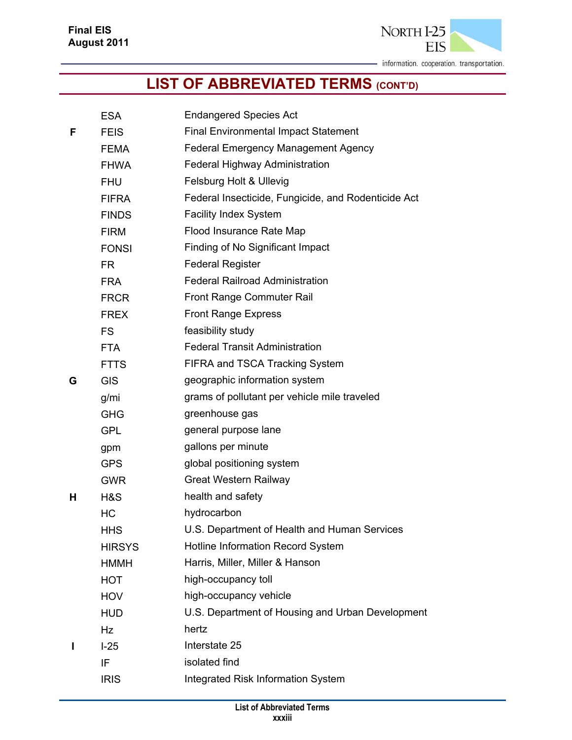**EIS** 

NORTH I-25

|   | <b>ESA</b>    | <b>Endangered Species Act</b>                       |
|---|---------------|-----------------------------------------------------|
| F | <b>FEIS</b>   | <b>Final Environmental Impact Statement</b>         |
|   | FEMA          | <b>Federal Emergency Management Agency</b>          |
|   | <b>FHWA</b>   | Federal Highway Administration                      |
|   | <b>FHU</b>    | Felsburg Holt & Ullevig                             |
|   | <b>FIFRA</b>  | Federal Insecticide, Fungicide, and Rodenticide Act |
|   | <b>FINDS</b>  | <b>Facility Index System</b>                        |
|   | <b>FIRM</b>   | Flood Insurance Rate Map                            |
|   | <b>FONSI</b>  | Finding of No Significant Impact                    |
|   | <b>FR</b>     | <b>Federal Register</b>                             |
|   | <b>FRA</b>    | <b>Federal Railroad Administration</b>              |
|   | <b>FRCR</b>   | Front Range Commuter Rail                           |
|   | FREX          | <b>Front Range Express</b>                          |
|   | <b>FS</b>     | feasibility study                                   |
|   | <b>FTA</b>    | <b>Federal Transit Administration</b>               |
|   | <b>FTTS</b>   | FIFRA and TSCA Tracking System                      |
| G | <b>GIS</b>    | geographic information system                       |
|   | g/mi          | grams of pollutant per vehicle mile traveled        |
|   | <b>GHG</b>    | greenhouse gas                                      |
|   | <b>GPL</b>    | general purpose lane                                |
|   | gpm           | gallons per minute                                  |
|   | <b>GPS</b>    | global positioning system                           |
|   | <b>GWR</b>    | <b>Great Western Railway</b>                        |
| н | H&S           | health and safety                                   |
|   | HC            | hydrocarbon                                         |
|   | <b>HHS</b>    | U.S. Department of Health and Human Services        |
|   | <b>HIRSYS</b> | <b>Hotline Information Record System</b>            |
|   | <b>HMMH</b>   | Harris, Miller, Miller & Hanson                     |
|   | <b>HOT</b>    | high-occupancy toll                                 |
|   | <b>HOV</b>    | high-occupancy vehicle                              |
|   | <b>HUD</b>    | U.S. Department of Housing and Urban Development    |
|   | Hz            | hertz                                               |
| ı | $I-25$        | Interstate 25                                       |
|   | IF            | isolated find                                       |
|   | <b>IRIS</b>   | <b>Integrated Risk Information System</b>           |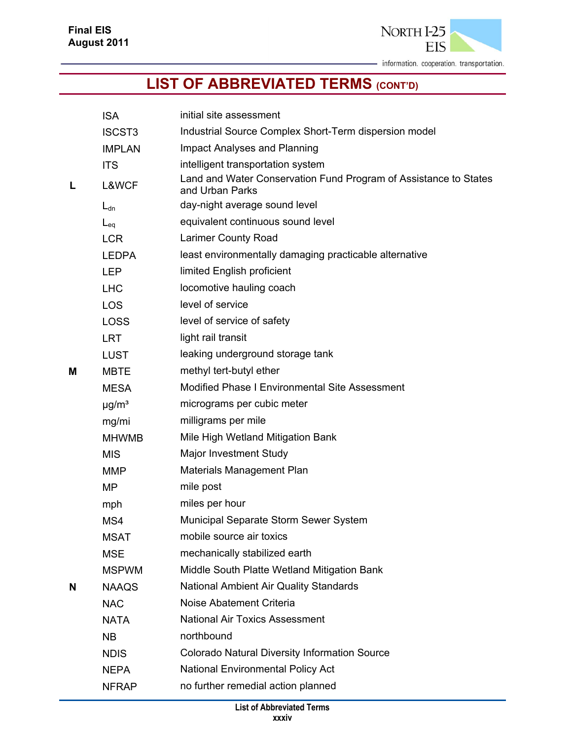

|   | <b>ISA</b>             | initial site assessment                                                             |
|---|------------------------|-------------------------------------------------------------------------------------|
|   | <b>ISCST3</b>          | Industrial Source Complex Short-Term dispersion model                               |
|   | <b>IMPLAN</b>          | Impact Analyses and Planning                                                        |
|   | <b>ITS</b>             | intelligent transportation system                                                   |
| L | L&WCF                  | Land and Water Conservation Fund Program of Assistance to States<br>and Urban Parks |
|   | $L_{dn}$               | day-night average sound level                                                       |
|   | $L_{eq}$               | equivalent continuous sound level                                                   |
|   | <b>LCR</b>             | <b>Larimer County Road</b>                                                          |
|   | <b>LEDPA</b>           | least environmentally damaging practicable alternative                              |
|   | <b>LEP</b>             | limited English proficient                                                          |
|   | <b>LHC</b>             | locomotive hauling coach                                                            |
|   | <b>LOS</b>             | level of service                                                                    |
|   | <b>LOSS</b>            | level of service of safety                                                          |
|   | <b>LRT</b>             | light rail transit                                                                  |
|   | <b>LUST</b>            | leaking underground storage tank                                                    |
| Μ | <b>MBTE</b>            | methyl tert-butyl ether                                                             |
|   | <b>MESA</b>            | Modified Phase I Environmental Site Assessment                                      |
|   | $\mu$ g/m <sup>3</sup> | micrograms per cubic meter                                                          |
|   | mg/mi                  | milligrams per mile                                                                 |
|   | <b>MHWMB</b>           | Mile High Wetland Mitigation Bank                                                   |
|   | <b>MIS</b>             | Major Investment Study                                                              |
|   | <b>MMP</b>             | <b>Materials Management Plan</b>                                                    |
|   | MP                     | mile post                                                                           |
|   | mph                    | miles per hour                                                                      |
|   | MS4                    | Municipal Separate Storm Sewer System                                               |
|   | <b>MSAT</b>            | mobile source air toxics                                                            |
|   | <b>MSE</b>             | mechanically stabilized earth                                                       |
|   | <b>MSPWM</b>           | Middle South Platte Wetland Mitigation Bank                                         |
| N | <b>NAAQS</b>           | <b>National Ambient Air Quality Standards</b>                                       |
|   | <b>NAC</b>             | Noise Abatement Criteria                                                            |
|   | <b>NATA</b>            | <b>National Air Toxics Assessment</b>                                               |
|   | <b>NB</b>              | northbound                                                                          |
|   | <b>NDIS</b>            | <b>Colorado Natural Diversity Information Source</b>                                |
|   | <b>NEPA</b>            | National Environmental Policy Act                                                   |
|   | <b>NFRAP</b>           | no further remedial action planned                                                  |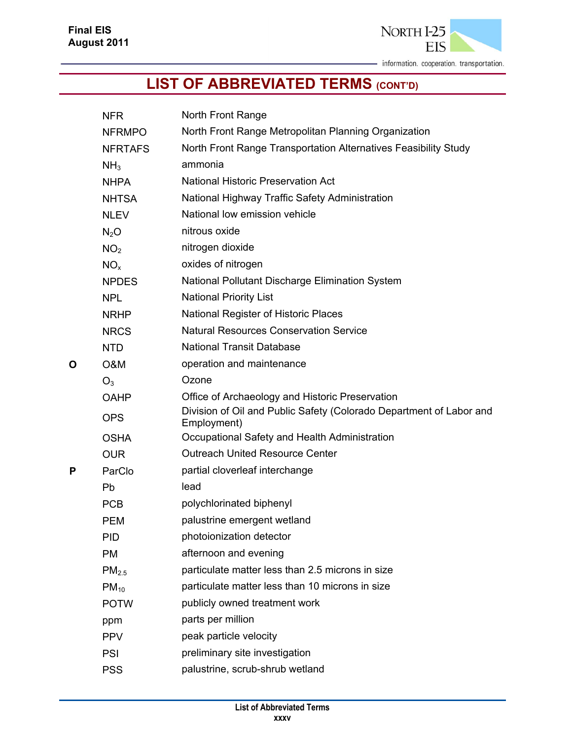

|   | <b>NFR</b>        | North Front Range                                                                  |
|---|-------------------|------------------------------------------------------------------------------------|
|   | <b>NFRMPO</b>     | North Front Range Metropolitan Planning Organization                               |
|   | <b>NFRTAFS</b>    | North Front Range Transportation Alternatives Feasibility Study                    |
|   | NH <sub>3</sub>   | ammonia                                                                            |
|   | <b>NHPA</b>       | National Historic Preservation Act                                                 |
|   | <b>NHTSA</b>      | National Highway Traffic Safety Administration                                     |
|   | <b>NLEV</b>       | National low emission vehicle                                                      |
|   | $N_2O$            | nitrous oxide                                                                      |
|   | NO <sub>2</sub>   | nitrogen dioxide                                                                   |
|   | NO <sub>x</sub>   | oxides of nitrogen                                                                 |
|   | <b>NPDES</b>      | National Pollutant Discharge Elimination System                                    |
|   | <b>NPL</b>        | <b>National Priority List</b>                                                      |
|   | <b>NRHP</b>       | National Register of Historic Places                                               |
|   | <b>NRCS</b>       | <b>Natural Resources Conservation Service</b>                                      |
|   | <b>NTD</b>        | <b>National Transit Database</b>                                                   |
| O | O&M               | operation and maintenance                                                          |
|   | $O_3$             | Ozone                                                                              |
|   | <b>OAHP</b>       | Office of Archaeology and Historic Preservation                                    |
|   | <b>OPS</b>        | Division of Oil and Public Safety (Colorado Department of Labor and<br>Employment) |
|   | <b>OSHA</b>       | Occupational Safety and Health Administration                                      |
|   | <b>OUR</b>        | <b>Outreach United Resource Center</b>                                             |
| P | ParClo            | partial cloverleaf interchange                                                     |
|   | Pb                | lead                                                                               |
|   | <b>PCB</b>        | polychlorinated biphenyl                                                           |
|   | <b>PEM</b>        | palustrine emergent wetland                                                        |
|   | <b>PID</b>        | photoionization detector                                                           |
|   | <b>PM</b>         | afternoon and evening                                                              |
|   | PM <sub>2.5</sub> | particulate matter less than 2.5 microns in size                                   |
|   | $PM_{10}$         | particulate matter less than 10 microns in size                                    |
|   | <b>POTW</b>       | publicly owned treatment work                                                      |
|   | ppm               | parts per million                                                                  |
|   | <b>PPV</b>        | peak particle velocity                                                             |
|   | PSI               | preliminary site investigation                                                     |
|   | <b>PSS</b>        | palustrine, scrub-shrub wetland                                                    |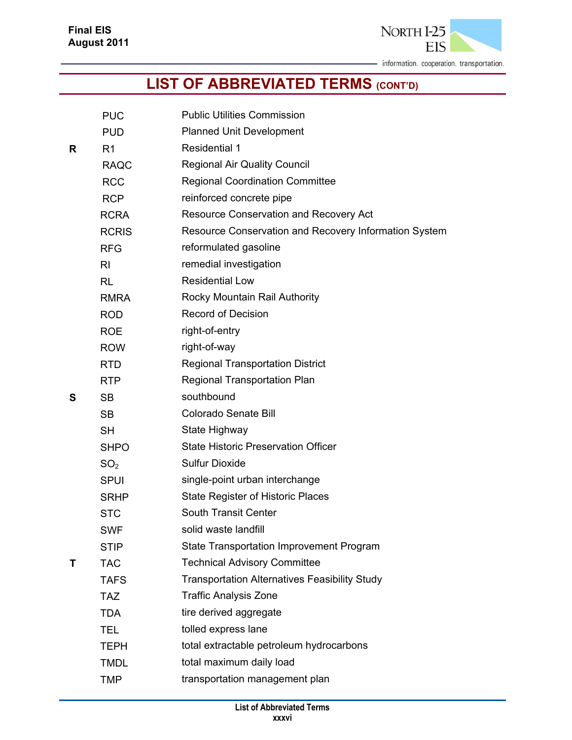

|   | <b>PUC</b>      | <b>Public Utilities Commission</b>                    |
|---|-----------------|-------------------------------------------------------|
|   | <b>PUD</b>      | <b>Planned Unit Development</b>                       |
| R | R <sub>1</sub>  | <b>Residential 1</b>                                  |
|   | <b>RAQC</b>     | <b>Regional Air Quality Council</b>                   |
|   | <b>RCC</b>      | <b>Regional Coordination Committee</b>                |
|   | <b>RCP</b>      | reinforced concrete pipe                              |
|   | <b>RCRA</b>     | Resource Conservation and Recovery Act                |
|   | <b>RCRIS</b>    | Resource Conservation and Recovery Information System |
|   | <b>RFG</b>      | reformulated gasoline                                 |
|   | R <sub>l</sub>  | remedial investigation                                |
|   | <b>RL</b>       | <b>Residential Low</b>                                |
|   | <b>RMRA</b>     | Rocky Mountain Rail Authority                         |
|   | <b>ROD</b>      | <b>Record of Decision</b>                             |
|   | <b>ROE</b>      | right-of-entry                                        |
|   | <b>ROW</b>      | right-of-way                                          |
|   | <b>RTD</b>      | <b>Regional Transportation District</b>               |
|   | <b>RTP</b>      | <b>Regional Transportation Plan</b>                   |
| S | <b>SB</b>       | southbound                                            |
|   | <b>SB</b>       | <b>Colorado Senate Bill</b>                           |
|   | <b>SH</b>       | State Highway                                         |
|   | <b>SHPO</b>     | <b>State Historic Preservation Officer</b>            |
|   | SO <sub>2</sub> | <b>Sulfur Dioxide</b>                                 |
|   | <b>SPUI</b>     | single-point urban interchange                        |
|   | <b>SRHP</b>     | <b>State Register of Historic Places</b>              |
|   | <b>STC</b>      | South Transit Center                                  |
|   | <b>SWF</b>      | solid waste landfill                                  |
|   | <b>STIP</b>     | State Transportation Improvement Program              |
| Т | <b>TAC</b>      | <b>Technical Advisory Committee</b>                   |
|   | <b>TAFS</b>     | <b>Transportation Alternatives Feasibility Study</b>  |
|   | <b>TAZ</b>      | <b>Traffic Analysis Zone</b>                          |
|   | <b>TDA</b>      | tire derived aggregate                                |
|   | <b>TEL</b>      | tolled express lane                                   |
|   | <b>TEPH</b>     | total extractable petroleum hydrocarbons              |
|   | <b>TMDL</b>     | total maximum daily load                              |
|   | <b>TMP</b>      | transportation management plan                        |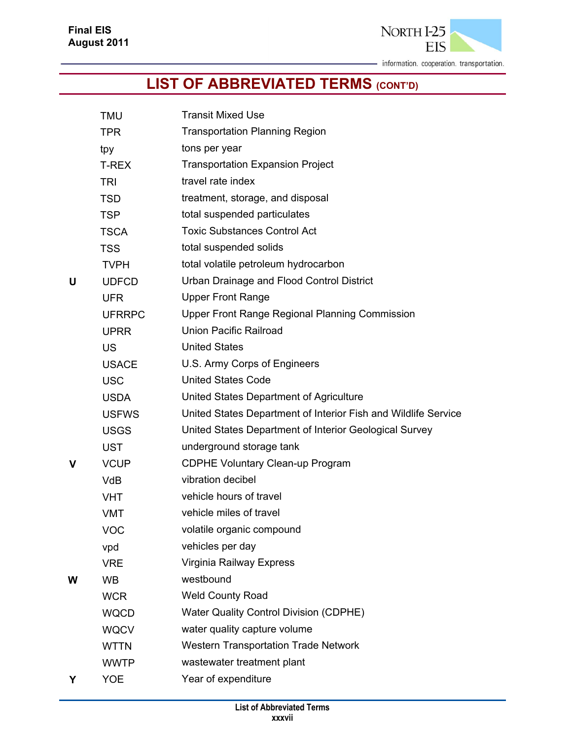

|   | <b>TMU</b>    | <b>Transit Mixed Use</b>                                       |
|---|---------------|----------------------------------------------------------------|
|   | <b>TPR</b>    | <b>Transportation Planning Region</b>                          |
|   | tpy           | tons per year                                                  |
|   | T-REX         | <b>Transportation Expansion Project</b>                        |
|   | <b>TRI</b>    | travel rate index                                              |
|   | <b>TSD</b>    | treatment, storage, and disposal                               |
|   | <b>TSP</b>    | total suspended particulates                                   |
|   | <b>TSCA</b>   | <b>Toxic Substances Control Act</b>                            |
|   | <b>TSS</b>    | total suspended solids                                         |
|   | <b>TVPH</b>   | total volatile petroleum hydrocarbon                           |
| U | <b>UDFCD</b>  | Urban Drainage and Flood Control District                      |
|   | <b>UFR</b>    | <b>Upper Front Range</b>                                       |
|   | <b>UFRRPC</b> | <b>Upper Front Range Regional Planning Commission</b>          |
|   | <b>UPRR</b>   | <b>Union Pacific Railroad</b>                                  |
|   | <b>US</b>     | <b>United States</b>                                           |
|   | <b>USACE</b>  | U.S. Army Corps of Engineers                                   |
|   | <b>USC</b>    | <b>United States Code</b>                                      |
|   | <b>USDA</b>   | United States Department of Agriculture                        |
|   | <b>USFWS</b>  | United States Department of Interior Fish and Wildlife Service |
|   | <b>USGS</b>   | United States Department of Interior Geological Survey         |
|   | <b>UST</b>    | underground storage tank                                       |
| v | <b>VCUP</b>   | <b>CDPHE Voluntary Clean-up Program</b>                        |
|   | <b>VdB</b>    | vibration decibel                                              |
|   | <b>VHT</b>    | vehicle hours of travel                                        |
|   | <b>VMT</b>    | vehicle miles of travel                                        |
|   | <b>VOC</b>    | volatile organic compound                                      |
|   | vpd           | vehicles per day                                               |
|   | <b>VRE</b>    | Virginia Railway Express                                       |
| W | <b>WB</b>     | westbound                                                      |
|   | <b>WCR</b>    | <b>Weld County Road</b>                                        |
|   | <b>WQCD</b>   | Water Quality Control Division (CDPHE)                         |
|   | <b>WQCV</b>   | water quality capture volume                                   |
|   | <b>WTTN</b>   | <b>Western Transportation Trade Network</b>                    |
|   | <b>WWTP</b>   | wastewater treatment plant                                     |
| Y | <b>YOE</b>    | Year of expenditure                                            |